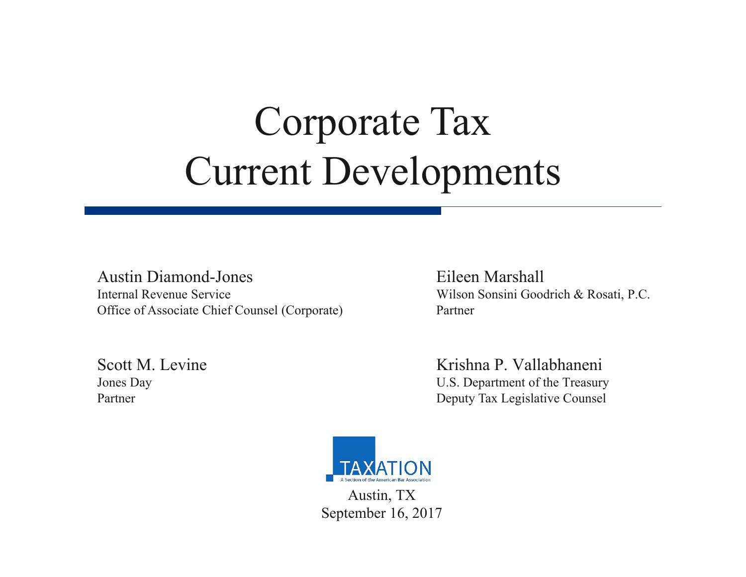# Corporate Tax Current Developments

#### Austin Diamond-Jones Eileen Marshall Internal Revenue Service Wilson Sonsini Goodrich & Rosati, P.C. Office of Associate Chief Counsel (Corporate) Partner

Scott M. Levine Krishna P. Vallabhaneni Jones Day U.S. Department of the Treasury Partner Deputy Tax Legislative Counsel



September 16, 2017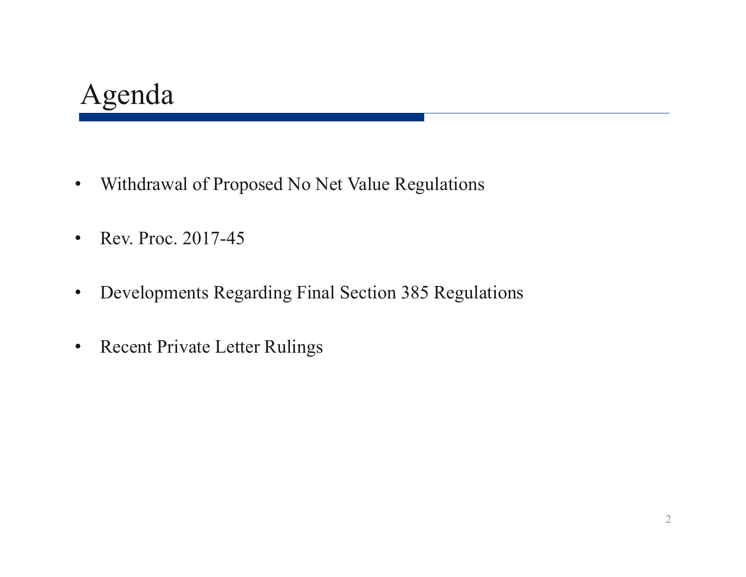#### Agenda

- $\bullet$ Withdrawal of Proposed No Net Value Regulations
- $\bullet$ • Rev. Proc. 2017-45
- $\bullet$ Developments Regarding Final Section 385 Regulations
- •Recent Private Letter Rulings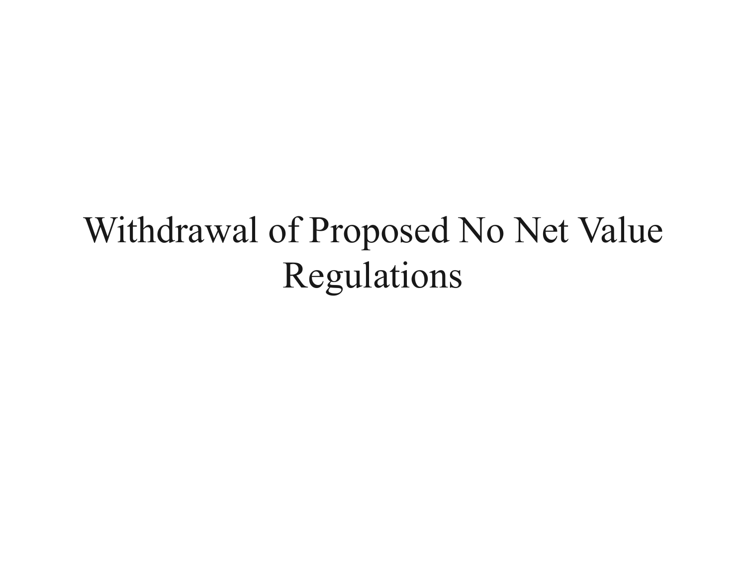## Withdrawal of Proposed No Net Value Regulations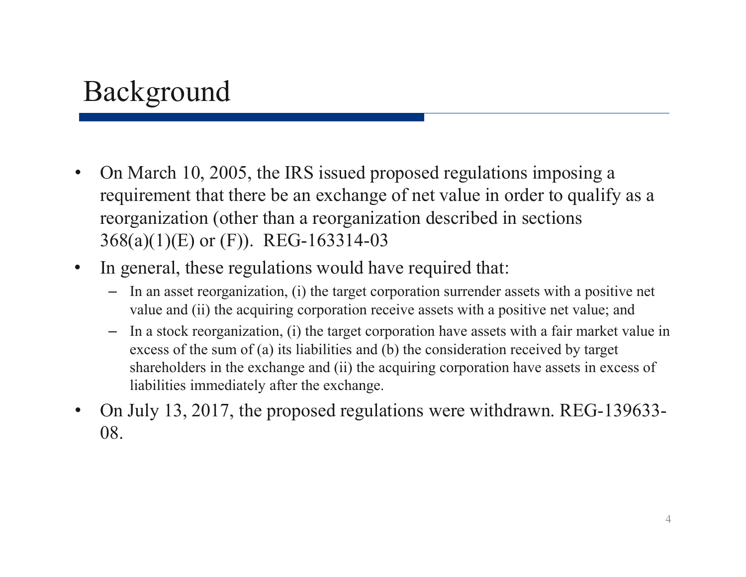#### Background

- $\bullet$  On March 10, 2005, the IRS issued proposed regulations imposing a requirement that there be an exchange of net value in order to qualify as a reorganization (other than a reorganization described in sections 368(a)(1)(E) or (F)). REG-163314-03
- $\bullet$  In general, these regulations would have required that:
	- In an asset reorganization, (i) the target corporation surrender assets with a positive net value and (ii) the acquiring corporation receive assets with a positive net value; and
	- – In a stock reorganization, (i) the target corporation have assets with a fair market value in excess of the sum of (a) its liabilities and (b) the consideration received by target shareholders in the exchange and (ii) the acquiring corporation have assets in excess of liabilities immediately after the exchange.
- $\bullet$  On July 13, 2017, the proposed regulations were withdrawn. REG-139633- 08.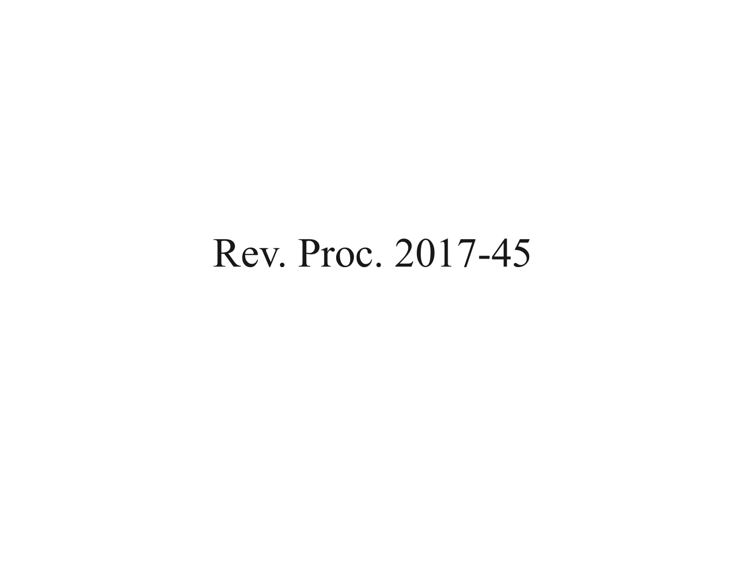## Rev. Proc. 2017-45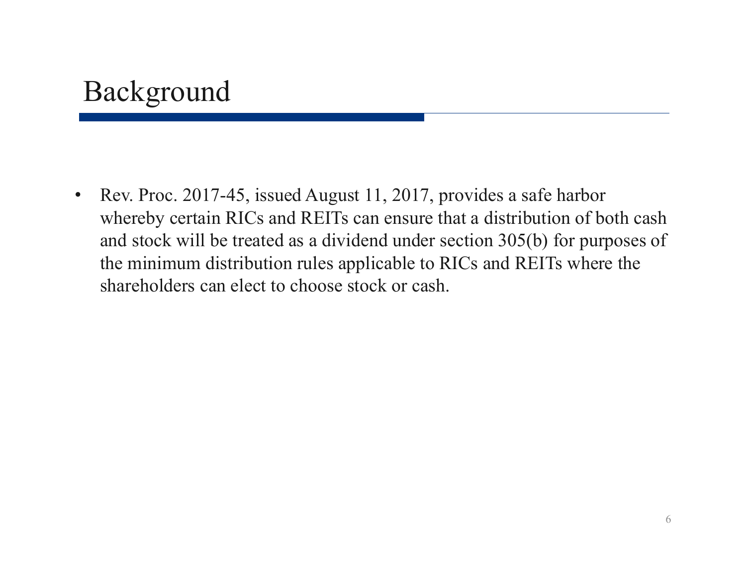#### Background

 $\bullet$  Rev. Proc. 2017-45, issued August 11, 2017, provides a safe harbor whereby certain RICs and REITs can ensure that a distribution of both cash and stock will be treated as a dividend under section 305(b) for purposes of the minimum distribution rules applicable to RICs and REITs where the shareholders can elect to choose stock or cash.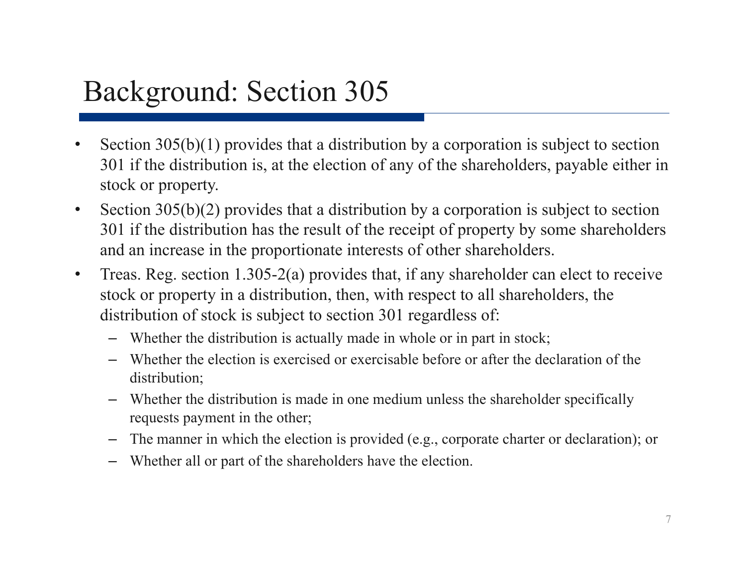#### Background: Section 305

- • Section 305(b)(1) provides that a distribution by a corporation is subject to section 301 if the distribution is, at the election of any of the shareholders, payable either in stock or property.
- $\bullet$  Section 305(b)(2) provides that a distribution by a corporation is subject to section 301 if the distribution has the result of the receipt of property by some shareholders and an increase in the proportionate interests of other shareholders.
- $\bullet$  Treas. Reg. section 1.305-2(a) provides that, if any shareholder can elect to receive stock or property in a distribution, then, with respect to all shareholders, the distribution of stock is subject to section 301 regardless of:
	- Whether the distribution is actually made in whole or in part in stock;
	- Whether the election is exercised or exercisable before or after the declaration of the distribution;
	- Whether the distribution is made in one medium unless the shareholder specifically requests payment in the other;
	- The manner in which the election is provided (e.g., corporate charter or declaration); or
	- Whether all or part of the shareholders have the election.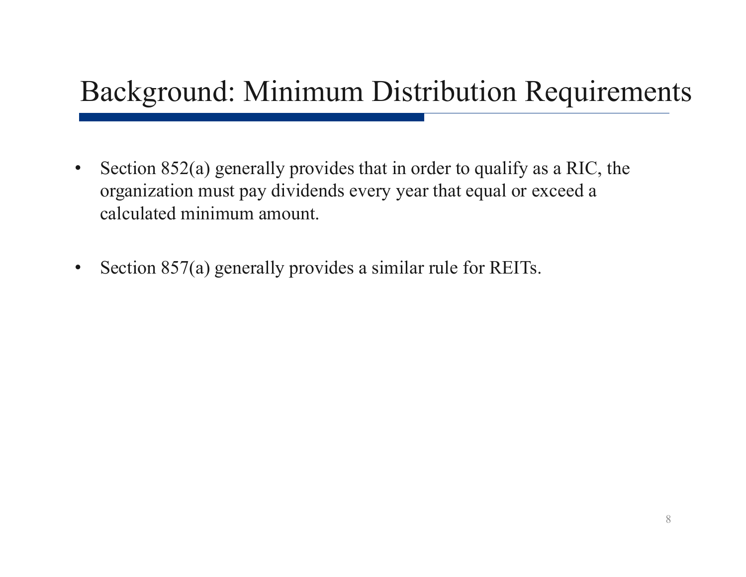#### Background: Minimum Distribution Requirements

- $\bullet$  Section 852(a) generally provides that in order to qualify as a RIC, the organization must pay dividends every year that equal or exceed a calculated minimum amount.
- $\bullet$ Section 857(a) generally provides a similar rule for REITs.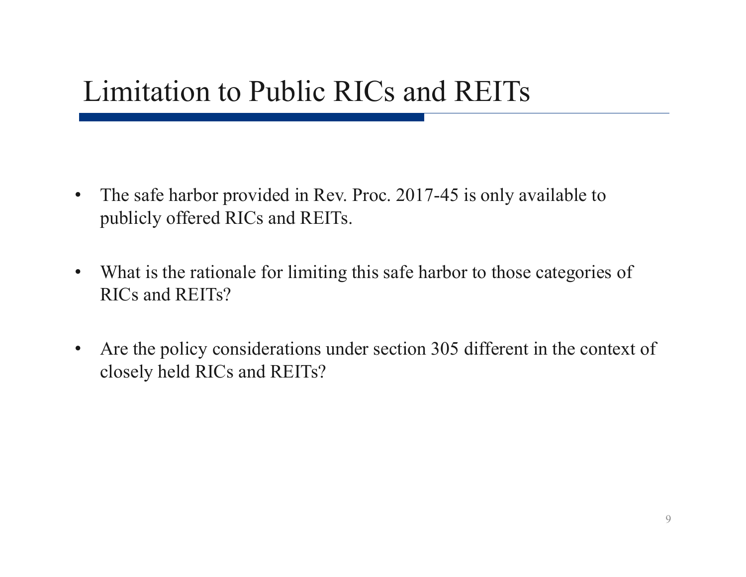#### Limitation to Public RICs and REITs

- $\bullet$  The safe harbor provided in Rev. Proc. 2017-45 is only available to publicly offered RICs and REITs.
- $\bullet$  What is the rationale for limiting this safe harbor to those categories of RICs and REITs?
- $\bullet$  Are the policy considerations under section 305 different in the context of closely held RICs and REITs?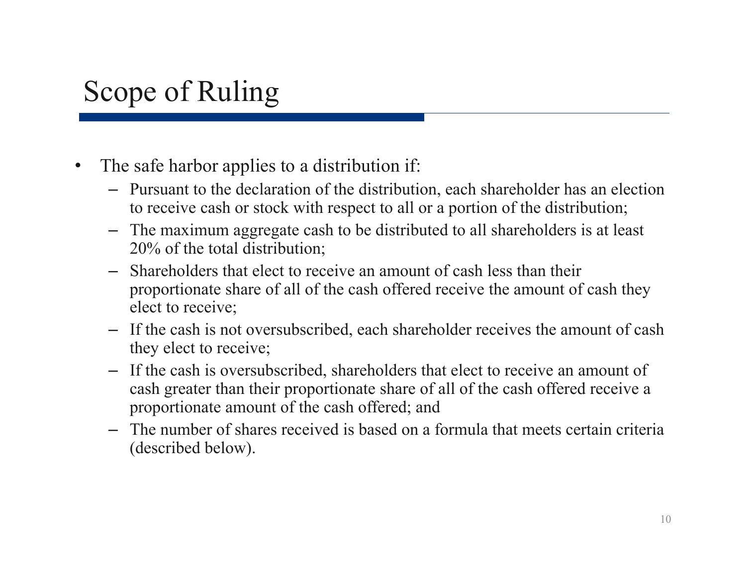#### Scope of Ruling

- $\bullet$  The safe harbor applies to a distribution if:
	- Pursuant to the declaration of the distribution, each shareholder has an election to receive cash or stock with respect to all or a portion of the distribution;
	- The maximum aggregate cash to be distributed to all shareholders is at least 20% of the total distribution;
	- Shareholders that elect to receive an amount of cash less than their proportionate share of all of the cash offered receive the amount of cash they elect to receive;
	- If the cash is not oversubscribed, each shareholder receives the amount of cash they elect to receive;
	- If the cash is oversubscribed, shareholders that elect to receive an amount of cash greater than their proportionate share of all of the cash offered receive a proportionate amount of the cash offered; and
	- The number of shares received is based on a formula that meets certain criteria (described below).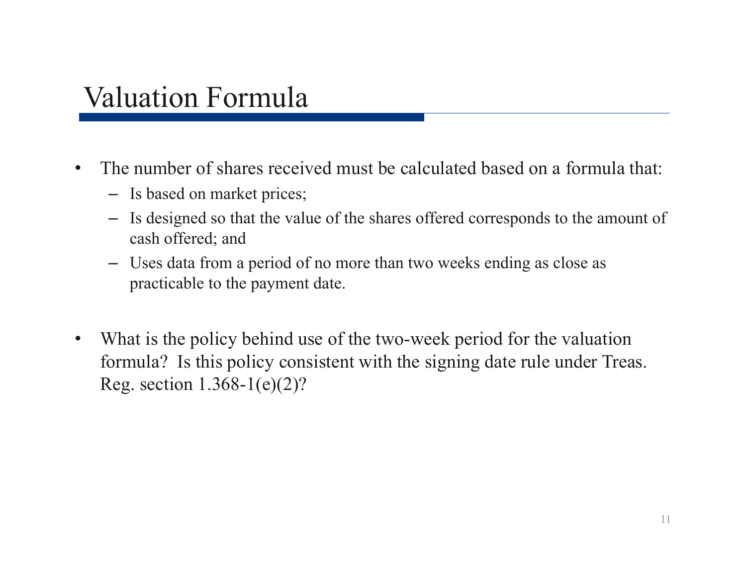#### Valuation Formula

- $\bullet$  The number of shares received must be calculated based on a formula that:
	- Is based on market prices;
	- Is designed so that the value of the shares offered corresponds to the amount of cash offered; and
	- Uses data from a period of no more than two weeks ending as close as practicable to the payment date.
- $\bullet$  What is the policy behind use of the two-week period for the valuation formula? Is this policy consistent with the signing date rule under Treas. Reg. section 1.368-1(e)(2)?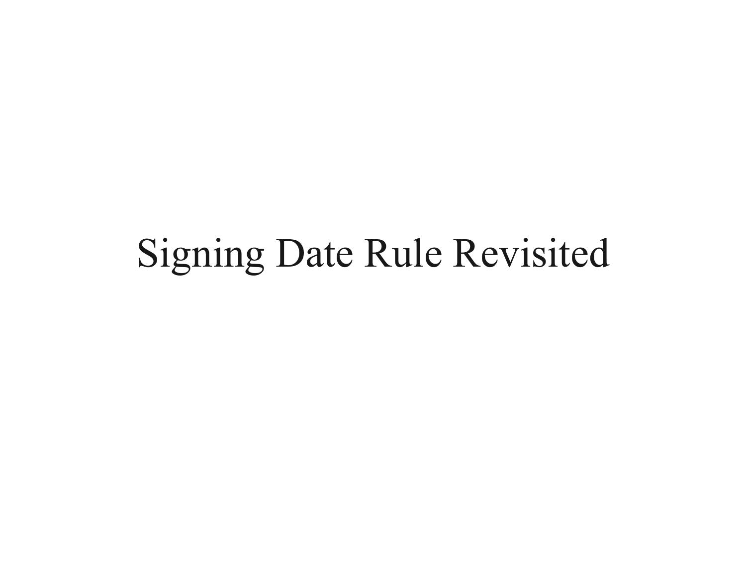## Signing Date Rule Revisited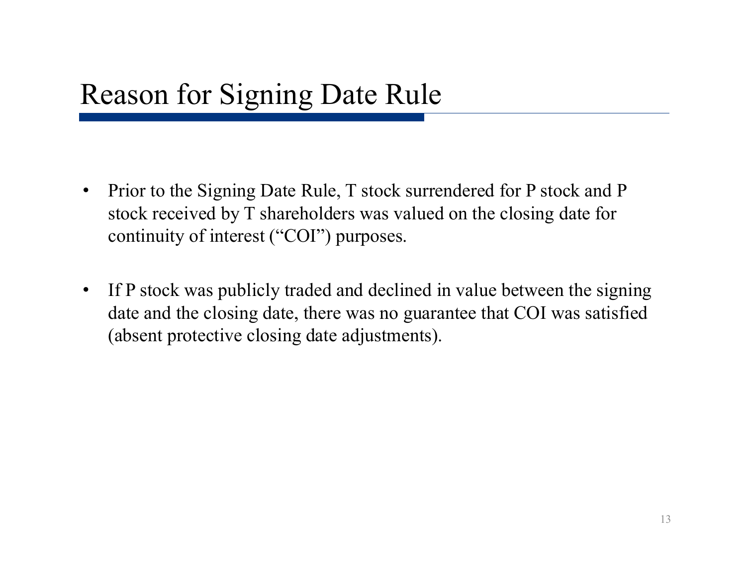- • Prior to the Signing Date Rule, T stock surrendered for P stock and P stock received by T shareholders was valued on the closing date for continuity of interest ("COI") purposes.
- $\bullet$  If P stock was publicly traded and declined in value between the signing date and the closing date, there was no guarantee that COI was satisfied (absent protective closing date adjustments).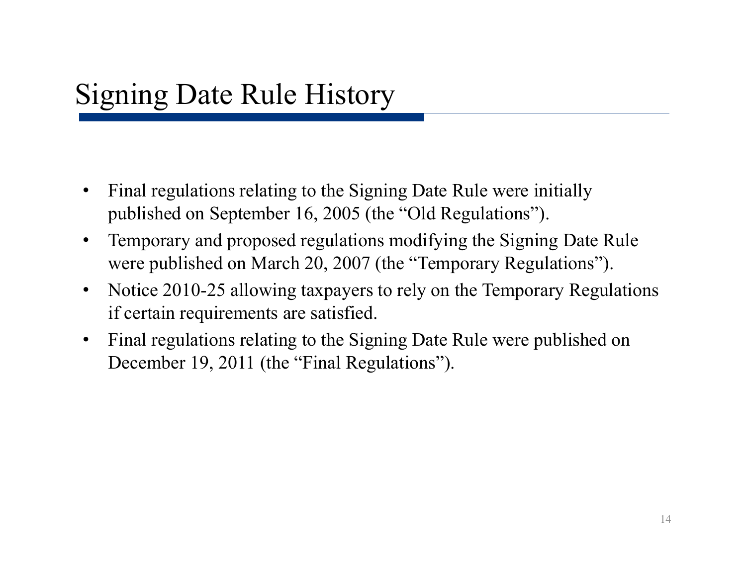- $\bullet$  Final regulations relating to the Signing Date Rule were initially published on September 16, 2005 (the "Old Regulations").
- • Temporary and proposed regulations modifying the Signing Date Rule were published on March 20, 2007 (the "Temporary Regulations").
- $\bullet$  Notice 2010-25 allowing taxpayers to rely on the Temporary Regulations if certain requirements are satisfied.
- $\bullet$  Final regulations relating to the Signing Date Rule were published on December 19, 2011 (the "Final Regulations").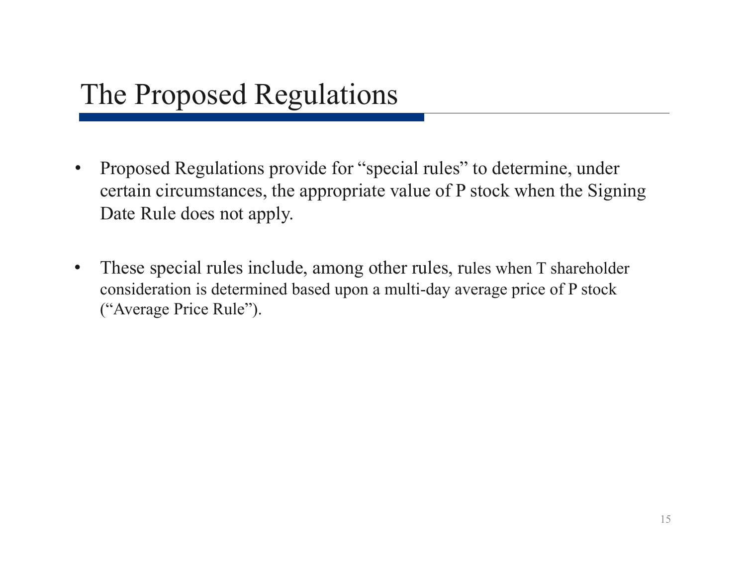#### The Proposed Regulations

- $\bullet$  Proposed Regulations provide for "special rules" to determine, under certain circumstances, the appropriate value of P stock when the Signing Date Rule does not apply.
- $\bullet$  These special rules include, among other rules, rules when T shareholder consideration is determined based upon a multi-day average price of P stock ("Average Price Rule").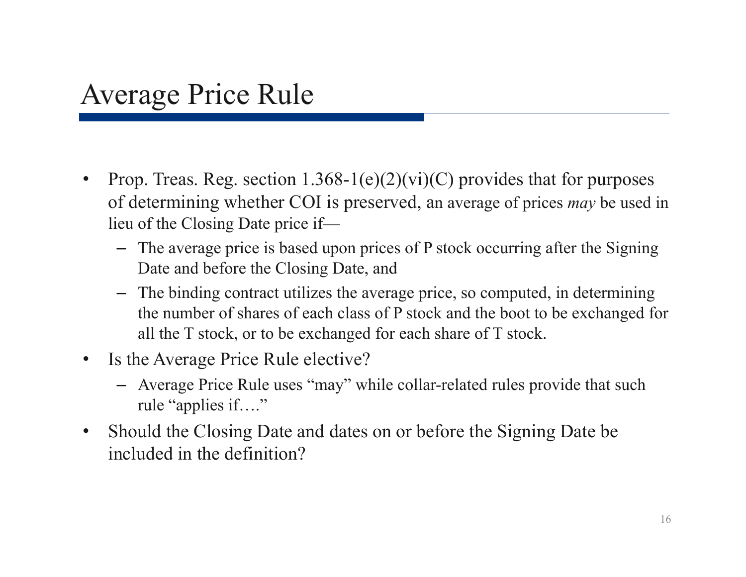#### Average Price Rule

- $\bullet$ Prop. Treas. Reg. section  $1.368-1(e)(2)(vi)(C)$  provides that for purposes of determining whether COI is preserved, an average of prices *may* be used in lieu of the Closing Date price if—
	- The average price is based upon prices of P stock occurring after the Signing Date and before the Closing Date, and
	- The binding contract utilizes the average price, so computed, in determining the number of shares of each class of P stock and the boot to be exchanged for all the T stock, or to be exchanged for each share of T stock.
- $\bullet$  Is the Average Price Rule elective?
	- Average Price Rule uses "may" while collar-related rules provide that such rule "applies if…."
- $\bullet$  Should the Closing Date and dates on or before the Signing Date be included in the definition?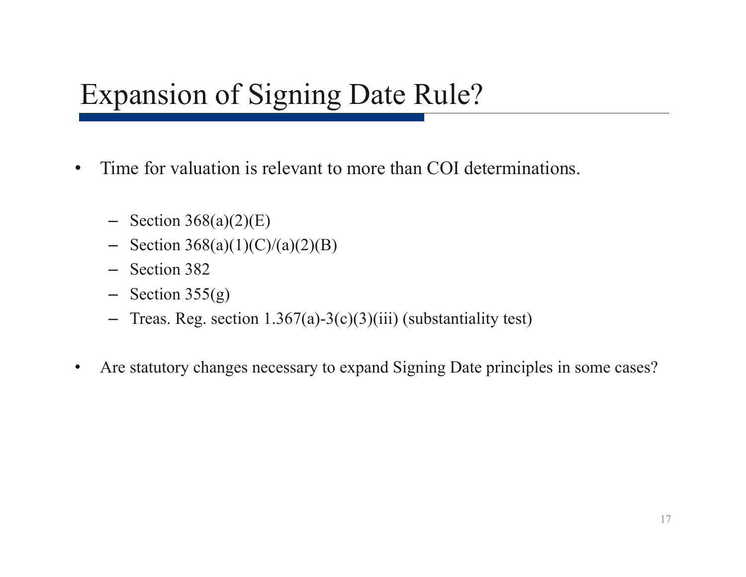#### Expansion of Signing Date Rule?

- $\bullet$  Time for valuation is relevant to more than COI determinations.
	- $-$  Section 368(a)(2)(E)
	- $-$  Section 368(a)(1)(C)/(a)(2)(B)
	- Section 382
	- $-$  Section 355(g)
	- Treas. Reg. section 1.367(a)-3(c)(3)(iii) (substantiality test)
- •Are statutory changes necessary to expand Signing Date principles in some cases?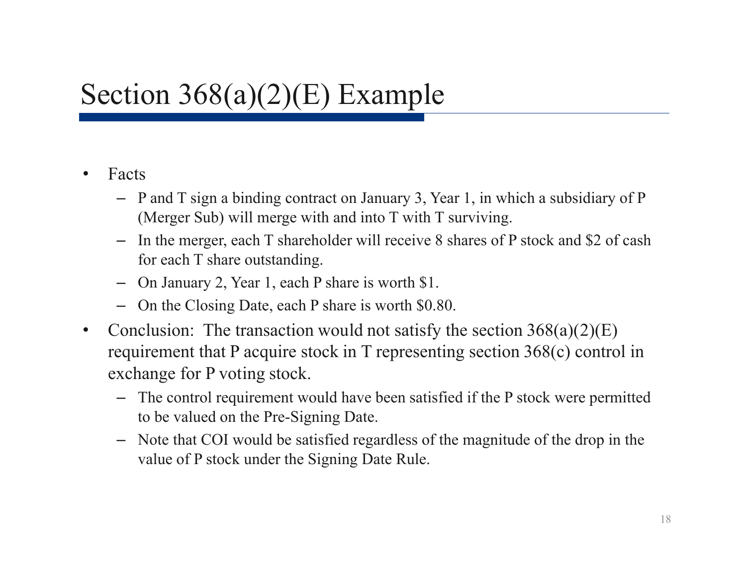#### •Facts

- P and T sign a binding contract on January 3, Year 1, in which a subsidiary of P (Merger Sub) will merge with and into T with T surviving.
- In the merger, each T shareholder will receive 8 shares of P stock and \$2 of cash for each T share outstanding.
- On January 2, Year 1, each P share is worth \$1.
- On the Closing Date, each P share is worth \$0.80.
- $\bullet$ Conclusion: The transaction would not satisfy the section  $368(a)(2)(E)$ requirement that P acquire stock in T representing section 368(c) control in exchange for P voting stock.
	- The control requirement would have been satisfied if the P stock were permitted to be valued on the Pre-Signing Date.
	- Note that COI would be satisfied regardless of the magnitude of the drop in the value of P stock under the Signing Date Rule.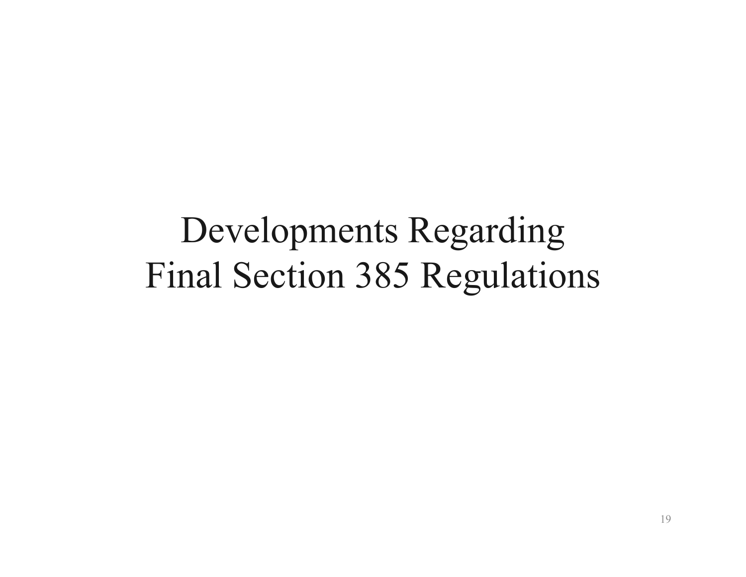## Developments Regarding Final Section 385 Regulations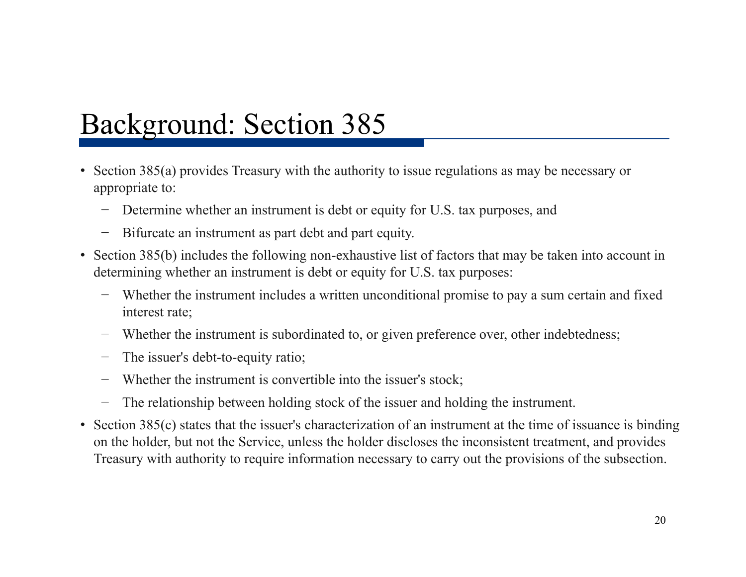#### Background: Section 385

- • Section 385(a) provides Treasury with the authority to issue regulations as may be necessary or appropriate to:
	- Determine whether an instrument is debt or equity for U.S. tax purposes, and
	- −Bifurcate an instrument as part debt and part equity.
- Section 385(b) includes the following non-exhaustive list of factors that may be taken into account in determining whether an instrument is debt or equity for U.S. tax purposes:
	- Whether the instrument includes a written unconditional promise to pay a sum certain and fixed interest rate;
	- −Whether the instrument is subordinated to, or given preference over, other indebtedness;
	- −The issuer's debt-to-equity ratio;
	- −Whether the instrument is convertible into the issuer's stock;
	- −The relationship between holding stock of the issuer and holding the instrument.
- • Section 385(c) states that the issuer's characterization of an instrument at the time of issuance is binding on the holder, but not the Service, unless the holder discloses the inconsistent treatment, and provides Treasury with authority to require information necessary to carry out the provisions of the subsection.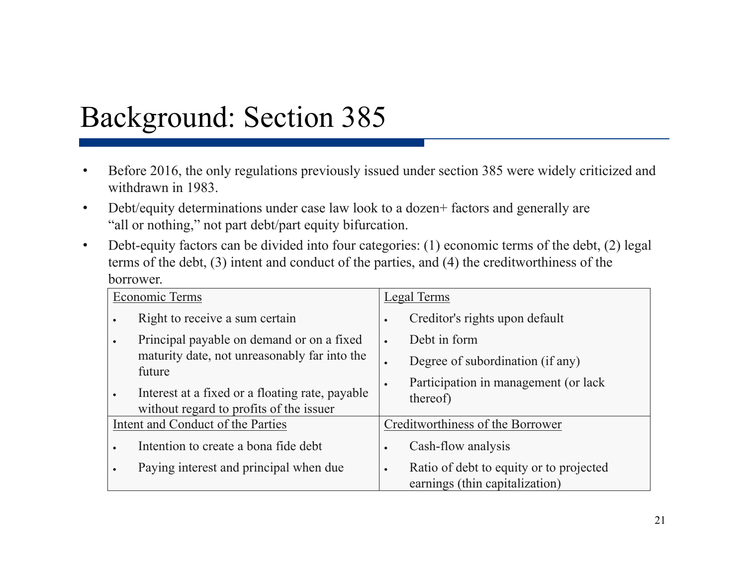#### Background: Section 385

- • Before 2016, the only regulations previously issued under section 385 were widely criticized and withdrawn in 1983.
- $\bullet$ Debt/equity determinations under case law look to a dozen+ factors and generally are "all or nothing," not part debt/part equity bifurcation.
- $\bullet$  Debt-equity factors can be divided into four categories: (1) economic terms of the debt, (2) legal terms of the debt, (3) intent and conduct of the parties, and (4) the creditworthiness of the borrower.

| Economic Terms                    |                                                                                            | Legal Terms |                                                                           |
|-----------------------------------|--------------------------------------------------------------------------------------------|-------------|---------------------------------------------------------------------------|
|                                   | Right to receive a sum certain                                                             |             | Creditor's rights upon default                                            |
|                                   | Principal payable on demand or on a fixed                                                  | $\bullet$   | Debt in form                                                              |
|                                   | maturity date, not unreasonably far into the<br>future                                     | $\bullet$   | Degree of subordination (if any)                                          |
|                                   | Interest at a fixed or a floating rate, payable<br>without regard to profits of the issuer | $\bullet$   | Participation in management (or lack<br>thereof)                          |
| Intent and Conduct of the Parties |                                                                                            |             | Creditworthiness of the Borrower                                          |
|                                   | Intention to create a bona fide debt                                                       |             | Cash-flow analysis                                                        |
|                                   | Paying interest and principal when due                                                     | $\bullet$   | Ratio of debt to equity or to projected<br>earnings (thin capitalization) |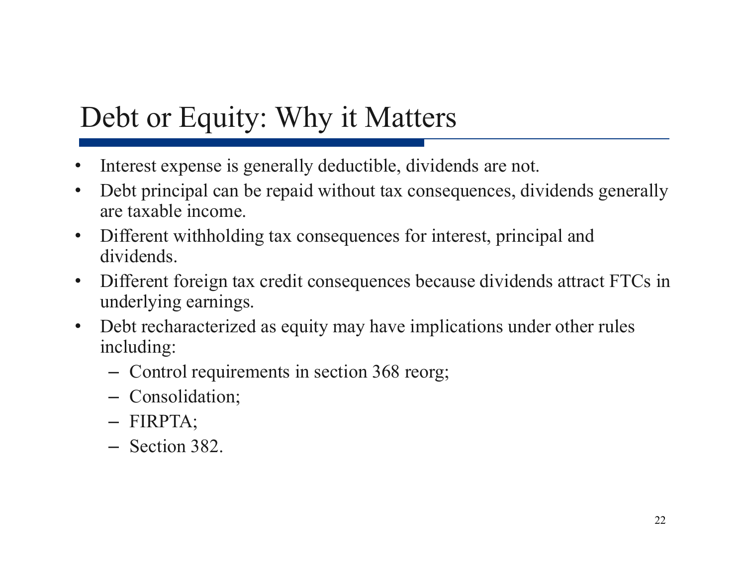### Debt or Equity: Why it Matters

- •Interest expense is generally deductible, dividends are not.
- $\bullet$  Debt principal can be repaid without tax consequences, dividends generally are taxable income.
- $\bullet$  Different withholding tax consequences for interest, principal and dividends.
- $\bullet$  Different foreign tax credit consequences because dividends attract FTCs in underlying earnings.
- $\bullet$  Debt recharacterized as equity may have implications under other rules including:
	- Control requirements in section 368 reorg;
	- Consolidation;
	- FIRPTA;
	- Section 382.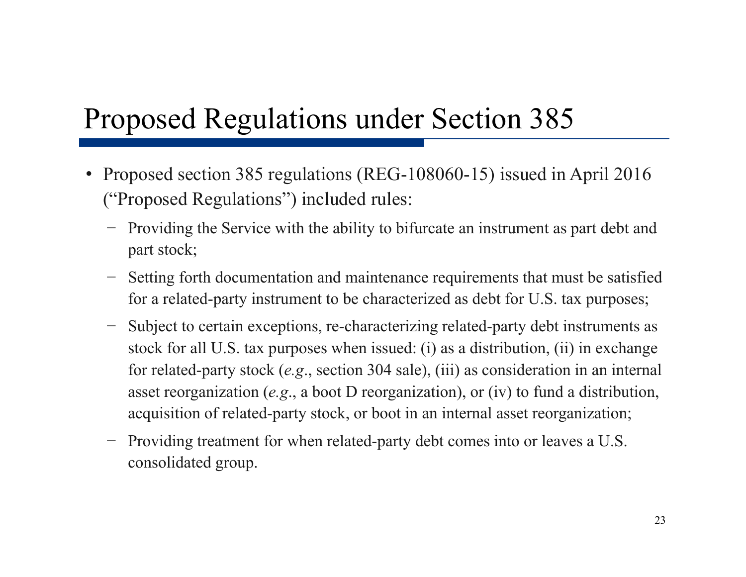#### Proposed Regulations under Section 385

- Proposed section 385 regulations (REG-108060-15) issued in April 2016 ("Proposed Regulations") included rules:
	- − Providing the Service with the ability to bifurcate an instrument as part debt and part stock;
	- Setting forth documentation and maintenance requirements that must be satisfied for a related-party instrument to be characterized as debt for U.S. tax purposes;
	- Subject to certain exceptions, re-characterizing related-party debt instruments as stock for all U.S. tax purposes when issued: (i) as a distribution, (ii) in exchange for related-party stock (*e.g*., section 304 sale), (iii) as consideration in an internal asset reorganization (*e.g*., a boot D reorganization), or (iv) to fund a distribution, acquisition of related-party stock, or boot in an internal asset reorganization;
	- − Providing treatment for when related-party debt comes into or leaves a U.S. consolidated group.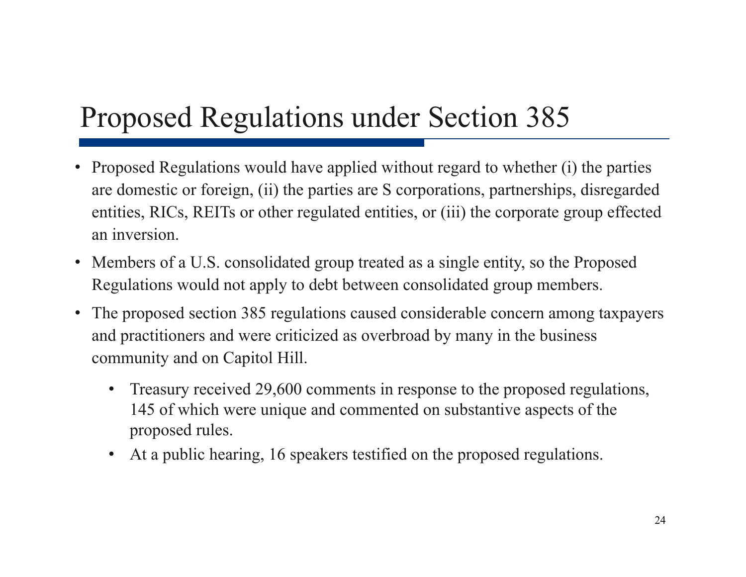### Proposed Regulations under Section 385

- Proposed Regulations would have applied without regard to whether (i) the parties are domestic or foreign, (ii) the parties are S corporations, partnerships, disregarded entities, RICs, REITs or other regulated entities, or (iii) the corporate group effected an inversion.
- Members of a U.S. consolidated group treated as a single entity, so the Proposed Regulations would not apply to debt between consolidated group members.
- The proposed section 385 regulations caused considerable concern among taxpayers and practitioners and were criticized as overbroad by many in the business community and on Capitol Hill.
	- • Treasury received 29,600 comments in response to the proposed regulations, 145 of which were unique and commented on substantive aspects of the proposed rules.
	- At a public hearing, 16 speakers testified on the proposed regulations.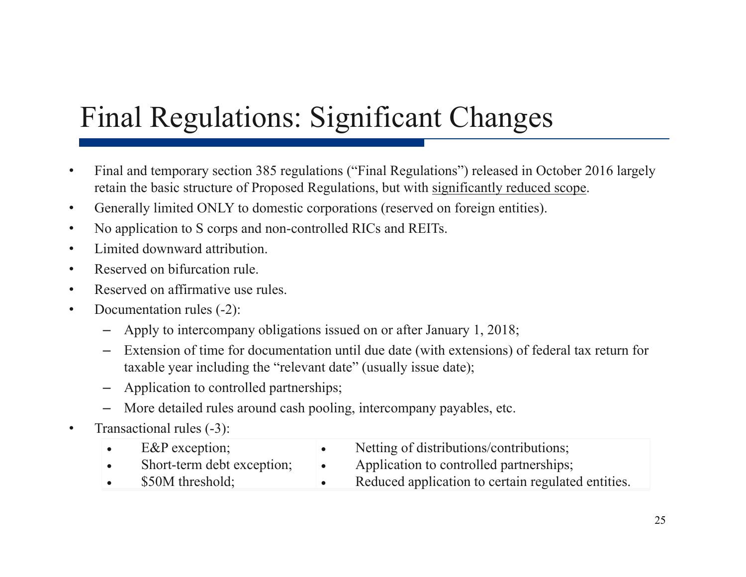## Final Regulations: Significant Changes

- • Final and temporary section 385 regulations ("Final Regulations") released in October 2016 largely retain the basic structure of Proposed Regulations, but with significantly reduced scope.
- •Generally limited ONLY to domestic corporations (reserved on foreign entities).
- $\bullet$ No application to S corps and non-controlled RICs and REITs.
- •Limited downward attribution.
- $\bullet$ Reserved on bifurcation rule.
- $\bullet$ Reserved on affirmative use rules.
- • Documentation rules (-2):
	- –Apply to intercompany obligations issued on or after January 1, 2018;
	- Extension of time for documentation until due date (with extensions) of federal tax return for taxable year including the "relevant date" (usually issue date);
	- –Application to controlled partnerships;
	- More detailed rules around cash pooling, intercompany payables, etc.
- •Transactional rules (-3):

| $E\&P$ exception;          | Netting of distributions/contributions;            |
|----------------------------|----------------------------------------------------|
| Short-term debt exception; | Application to controlled partnerships;            |
| \$50M threshold;           | Reduced application to certain regulated entities. |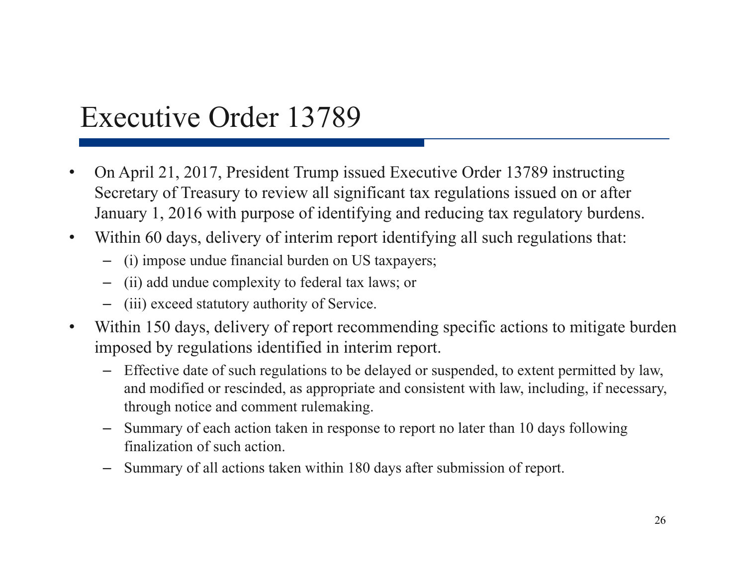#### Executive Order 13789

- • On April 21, 2017, President Trump issued Executive Order 13789 instructing Secretary of Treasury to review all significant tax regulations issued on or after January 1, 2016 with purpose of identifying and reducing tax regulatory burdens.
- $\bullet$ Within 60 days, delivery of interim report identifying all such regulations that:
	- (i) impose undue financial burden on US taxpayers;
	- (ii) add undue complexity to federal tax laws; or
	- (iii) exceed statutory authority of Service.
- $\bullet$  Within 150 days, delivery of report recommending specific actions to mitigate burden imposed by regulations identified in interim report.
	- Effective date of such regulations to be delayed or suspended, to extent permitted by law, and modified or rescinded, as appropriate and consistent with law, including, if necessary, through notice and comment rulemaking.
	- Summary of each action taken in response to report no later than 10 days following finalization of such action.
	- Summary of all actions taken within 180 days after submission of report.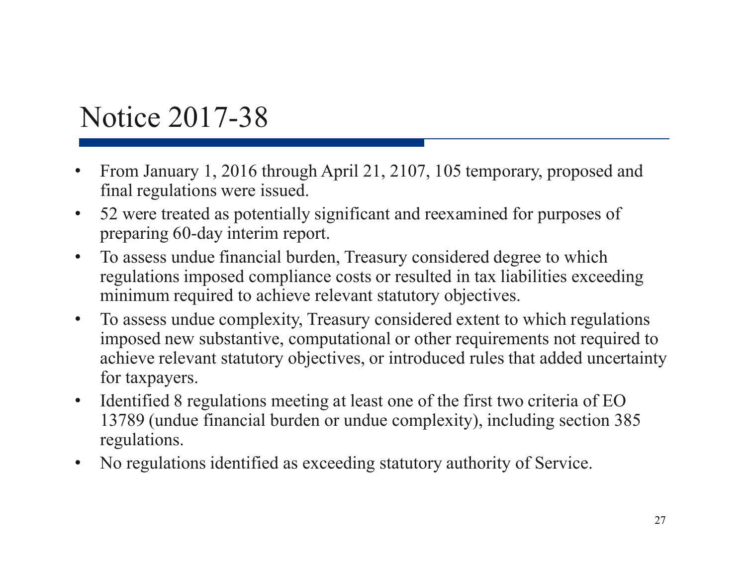#### Notice 2017-38

- • From January 1, 2016 through April 21, 2107, 105 temporary, proposed and final regulations were issued.
- $\bullet$  52 were treated as potentially significant and reexamined for purposes of preparing 60-day interim report.
- $\bullet$  To assess undue financial burden, Treasury considered degree to which regulations imposed compliance costs or resulted in tax liabilities exceeding minimum required to achieve relevant statutory objectives.
- $\bullet$  To assess undue complexity, Treasury considered extent to which regulations imposed new substantive, computational or other requirements not required to achieve relevant statutory objectives, or introduced rules that added uncertainty for taxpayers.
- • Identified 8 regulations meeting at least one of the first two criteria of EO 13789 (undue financial burden or undue complexity), including section 385 regulations.
- •No regulations identified as exceeding statutory authority of Service.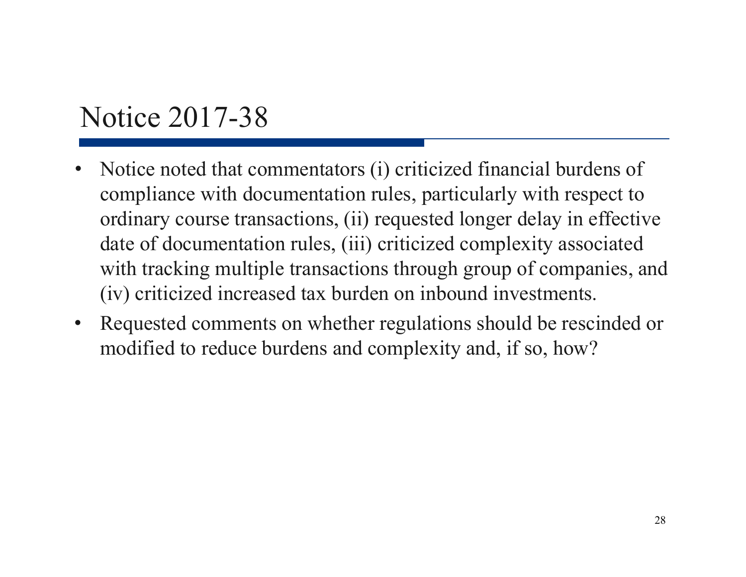#### Notice 2017-38

- • Notice noted that commentators (i) criticized financial burdens of compliance with documentation rules, particularly with respect to ordinary course transactions, (ii) requested longer delay in effective date of documentation rules, (iii) criticized complexity associated with tracking multiple transactions through group of companies, and (iv) criticized increased tax burden on inbound investments.
- $\bullet$  Requested comments on whether regulations should be rescinded or modified to reduce burdens and complexity and, if so, how?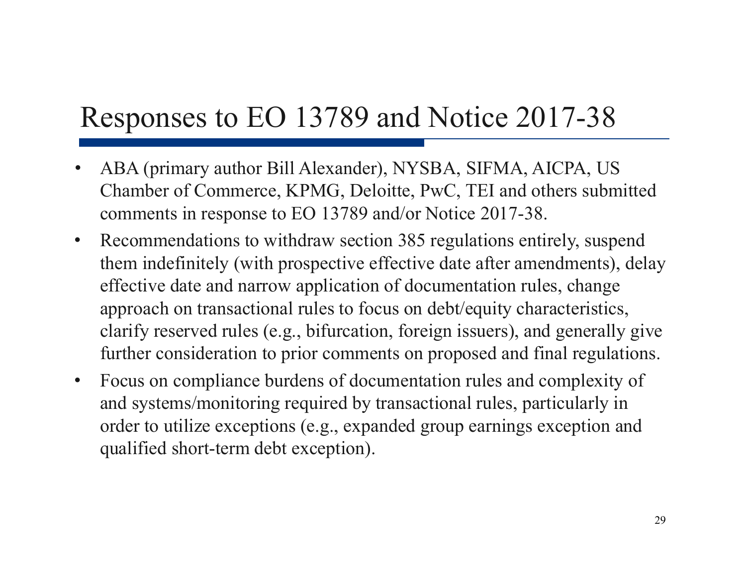#### Responses to EO 13789 and Notice 2017-38

- $\bullet$  ABA (primary author Bill Alexander), NYSBA, SIFMA, AICPA, US Chamber of Commerce, KPMG, Deloitte, PwC, TEI and others submitted comments in response to EO 13789 and/or Notice 2017-38.
- $\bullet$  Recommendations to withdraw section 385 regulations entirely, suspend them indefinitely (with prospective effective date after amendments), delay effective date and narrow application of documentation rules, change approach on transactional rules to focus on debt/equity characteristics, clarify reserved rules (e.g., bifurcation, foreign issuers), and generally give further consideration to prior comments on proposed and final regulations.
- • Focus on compliance burdens of documentation rules and complexity of and systems/monitoring required by transactional rules, particularly in order to utilize exceptions (e.g., expanded group earnings exception and qualified short-term debt exception).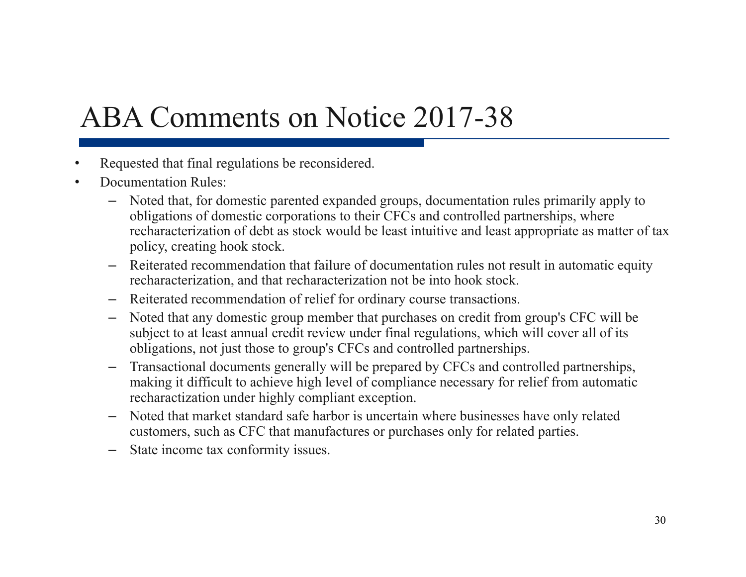#### ABA Comments on Notice 2017-38

- •Requested that final regulations be reconsidered.
- • Documentation Rules:
	- Noted that, for domestic parented expanded groups, documentation rules primarily apply to obligations of domestic corporations to their CFCs and controlled partnerships, where recharacterization of debt as stock would be least intuitive and least appropriate as matter of tax policy, creating hook stock.
	- Reiterated recommendation that failure of documentation rules not result in automatic equity recharacterization, and that recharacterization not be into hook stock.
	- Reiterated recommendation of relief for ordinary course transactions.
	- Noted that any domestic group member that purchases on credit from group's CFC will be subject to at least annual credit review under final regulations, which will cover all of its obligations, not just those to group's CFCs and controlled partnerships.
	- – Transactional documents generally will be prepared by CFCs and controlled partnerships, making it difficult to achieve high level of compliance necessary for relief from automatic recharactization under highly compliant exception.
	- – Noted that market standard safe harbor is uncertain where businesses have only related customers, such as CFC that manufactures or purchases only for related parties.
	- –State income tax conformity issues.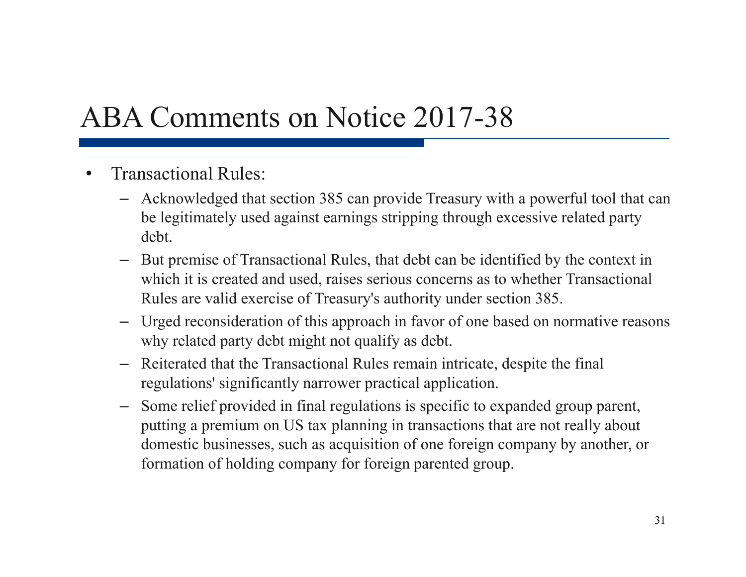#### ABA Comments on Notice 2017-38

- • Transactional Rules:
	- Acknowledged that section 385 can provide Treasury with a powerful tool that can be legitimately used against earnings stripping through excessive related party debt.
	- But premise of Transactional Rules, that debt can be identified by the context in which it is created and used, raises serious concerns as to whether Transactional Rules are valid exercise of Treasury's authority under section 385.
	- Urged reconsideration of this approach in favor of one based on normative reasons why related party debt might not qualify as debt.
	- Reiterated that the Transactional Rules remain intricate, despite the final regulations' significantly narrower practical application.
	- Some relief provided in final regulations is specific to expanded group parent, putting a premium on US tax planning in transactions that are not really about domestic businesses, such as acquisition of one foreign company by another, or formation of holding company for foreign parented group.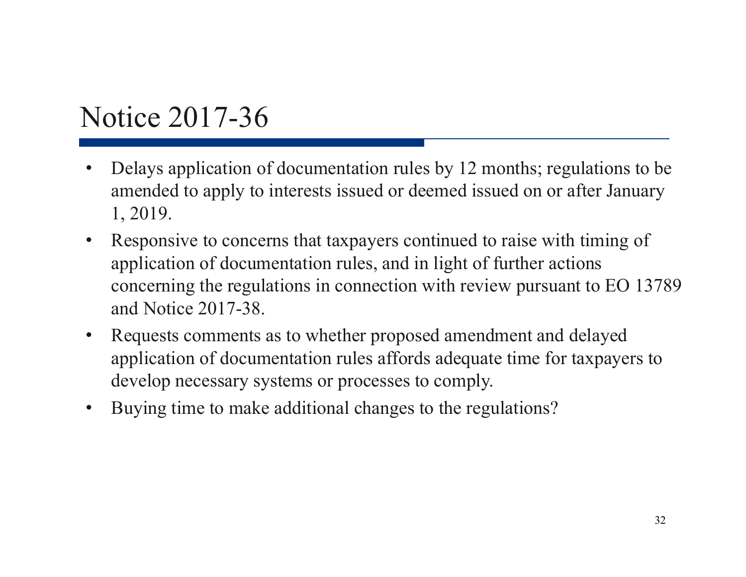#### Notice 2017-36

- • Delays application of documentation rules by 12 months; regulations to be amended to apply to interests issued or deemed issued on or after January 1, 2019.
- • Responsive to concerns that taxpayers continued to raise with timing of application of documentation rules, and in light of further actions concerning the regulations in connection with review pursuant to EO 13789 and Notice 2017-38.
- • Requests comments as to whether proposed amendment and delayed application of documentation rules affords adequate time for taxpayers to develop necessary systems or processes to comply.
- •Buying time to make additional changes to the regulations?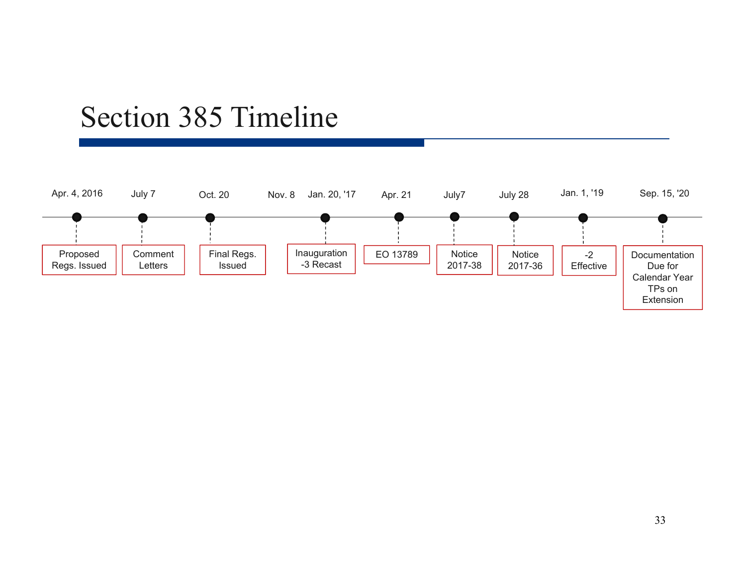#### Section 385 Timeline

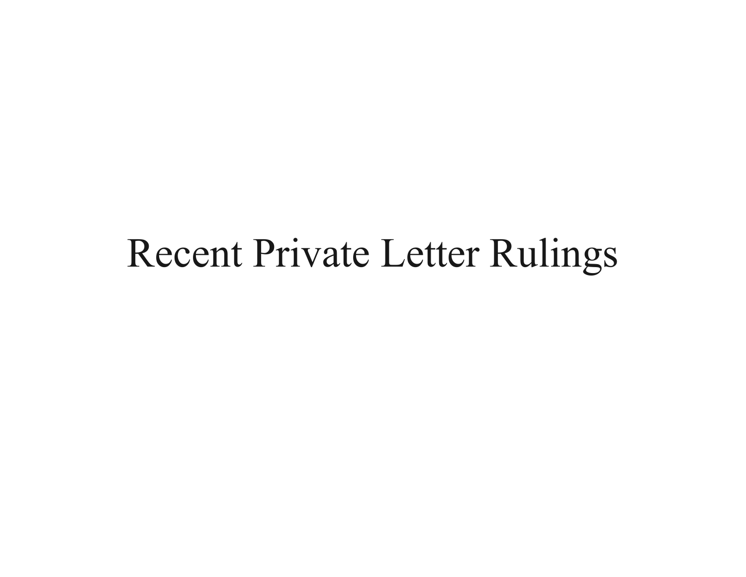## Recent Private Letter Rulings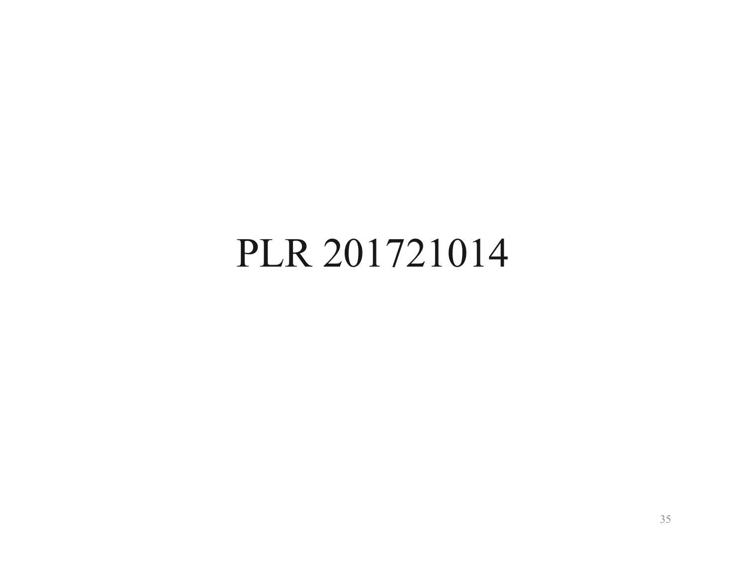## PLR 201721014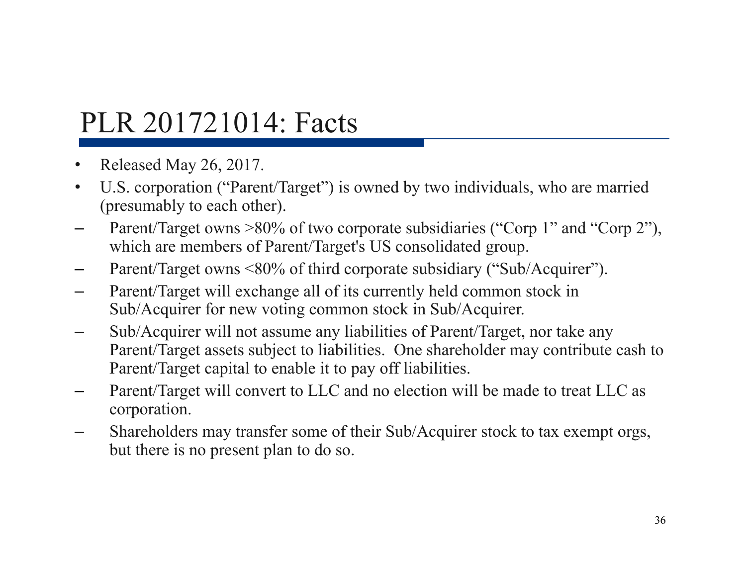#### PLR 201721014: Facts

- •Released May 26, 2017.
- $\bullet$  U.S. corporation ("Parent/Target") is owned by two individuals, who are married (presumably to each other).
- Parent/Target owns >80% of two corporate subsidiaries ("Corp 1" and "Corp 2"), which are members of Parent/Target's US consolidated group.
- Parent/Target owns <80% of third corporate subsidiary ("Sub/Acquirer").
- – Parent/Target will exchange all of its currently held common stock in Sub/Acquirer for new voting common stock in Sub/Acquirer.
- Sub/Acquirer will not assume any liabilities of Parent/Target, nor take any Parent/Target assets subject to liabilities. One shareholder may contribute cash to Parent/Target capital to enable it to pay off liabilities.
- – Parent/Target will convert to LLC and no election will be made to treat LLC as corporation.
- Shareholders may transfer some of their Sub/Acquirer stock to tax exempt orgs, but there is no present plan to do so.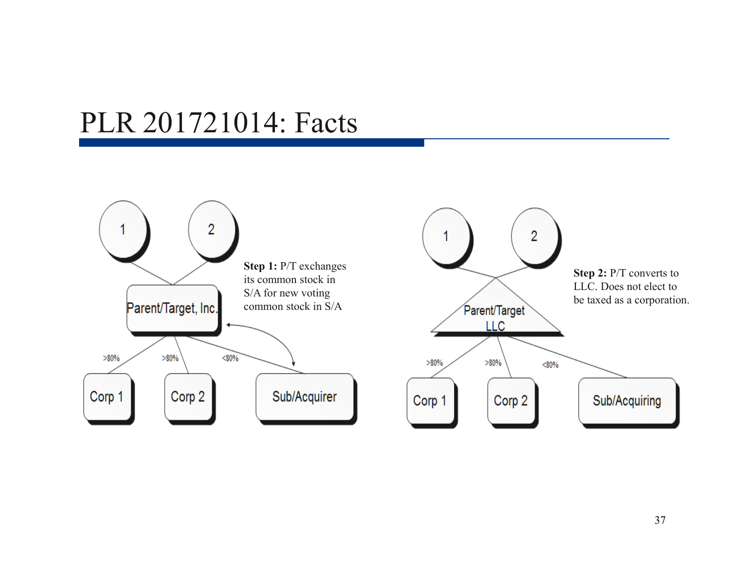### PLR 201721014: Facts

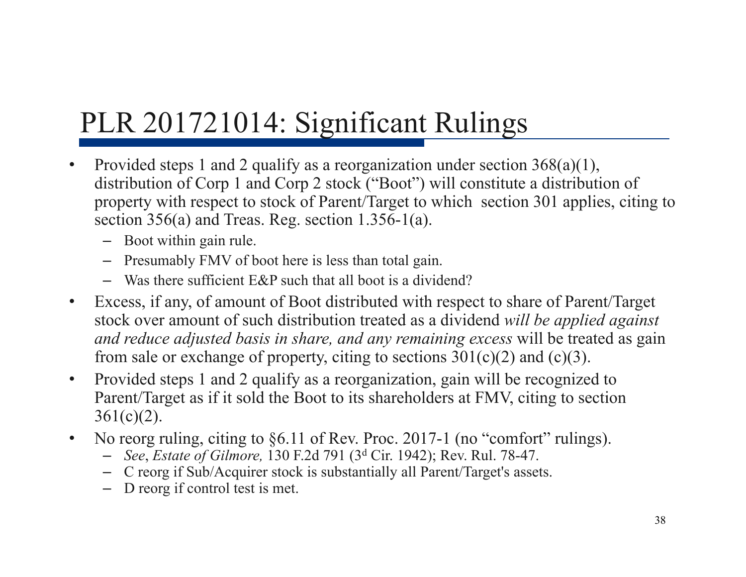# PLR 201721014: Significant Rulings

- • Provided steps 1 and 2 qualify as a reorganization under section 368(a)(1), distribution of Corp 1 and Corp 2 stock ("Boot") will constitute a distribution of property with respect to stock of Parent/Target to which section 301 applies, citing to section 356(a) and Treas. Reg. section 1.356-1(a).
	- Boot within gain rule.
	- Presumably FMV of boot here is less than total gain.
	- Was there sufficient E&P such that all boot is a dividend?
- • Excess, if any, of amount of Boot distributed with respect to share of Parent/Target stock over amount of such distribution treated as a dividend *will be applied against and reduce adjusted basis in share, and any remaining excess* will be treated as gain from sale or exchange of property, citing to sections  $301(c)(2)$  and  $(c)(3)$ .
- $\bullet$  Provided steps 1 and 2 qualify as a reorganization, gain will be recognized to Parent/Target as if it sold the Boot to its shareholders at FMV, citing to section  $361(c)(2)$ .
- •No reorg ruling, citing to §6.11 of Rev. Proc. 2017-1 (no "comfort" rulings).
	- *See*, *Estate of Gilmore,* 130 F.2d 791 (3 d Cir. 1942); Rev. Rul. 78-47.
	- C reorg if Sub/Acquirer stock is substantially all Parent/Target's assets.
	- D reorg if control test is met.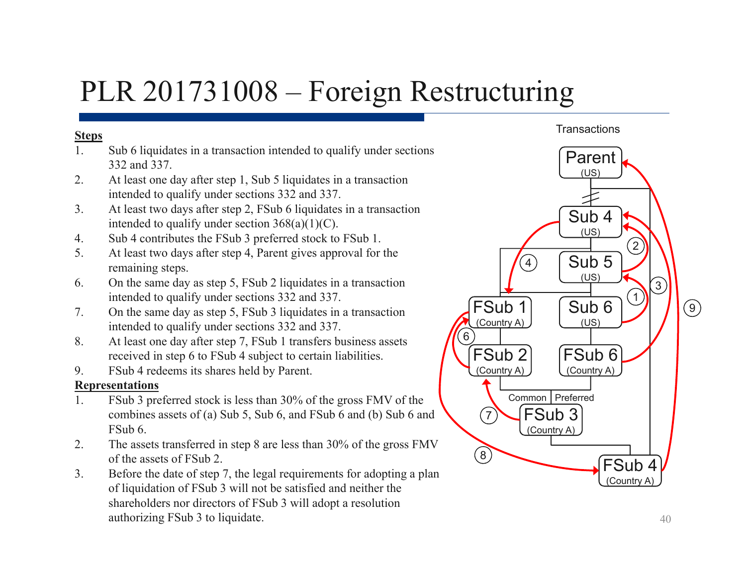### PLR 201731008 – Foreign Restructuring

#### **Steps**

- 1. Sub 6 liquidates in a transaction intended to qualify under sections 332 and 337.
- 2. At least one day after step 1, Sub 5 liquidates in a transaction intended to qualify under sections 332 and 337.
- 3. At least two days after step 2, FSub 6 liquidates in a transaction intended to qualify under section 368(a)(1)(C).
- 4. Sub 4 contributes the FSub 3 preferred stock to FSub 1.
- 5. At least two days after step 4, Parent gives approval for the remaining steps.
- 6. On the same day as step 5, FSub 2 liquidates in a transaction intended to qualify under sections 332 and 337.
- 7. On the same day as step 5, FSub 3 liquidates in a transaction intended to qualify under sections 332 and 337.
- 8. At least one day after step 7, FSub 1 transfers business assets received in step 6 to FSub 4 subject to certain liabilities.
- 9. FSub 4 redeems its shares held by Parent.

#### **Representations**

- 1. FSub 3 preferred stock is less than 30% of the gross FMV of the combines assets of (a) Sub 5, Sub 6, and FSub 6 and (b) Sub 6 and FSub 6.
- 2. The assets transferred in step 8 are less than 30% of the gross FMV of the assets of FSub 2.
- 3. Before the date of step 7, the legal requirements for adopting a plan of liquidation of FSub 3 will not be satisfied and neither the shareholders nor directors of FSub 3 will adopt a resolution authorizing FSub 3 to liquidate. 40



**Transactions**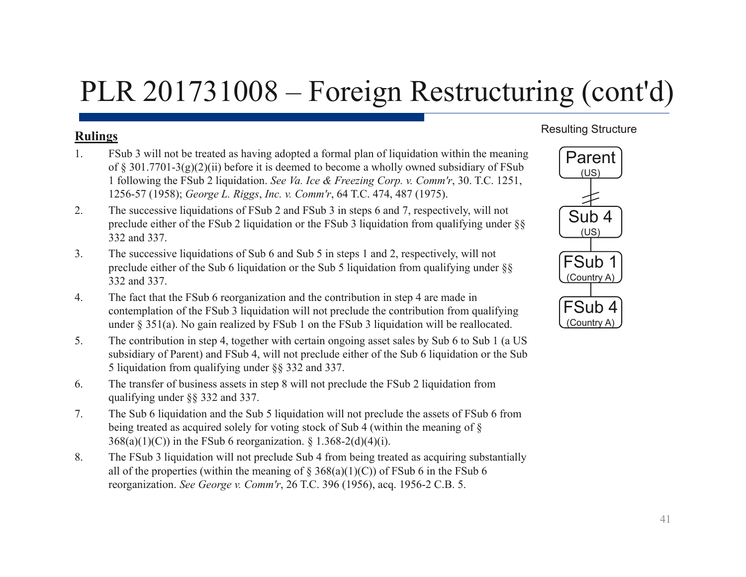## PLR 201731008 – Foreign Restructuring (cont'd)

### **Rulings**

- 1. FSub 3 will not be treated as having adopted a formal plan of liquidation within the meaning of § 301.7701-3(g)(2)(ii) before it is deemed to become a wholly owned subsidiary of FSub 1 following the FSub 2 liquidation. *See Va. Ice & Freezing Corp. v. Comm'r*, 30. T.C. 1251, 1256-57 (1958); *George L. Riggs*, *Inc. v. Comm'r*, 64 T.C. 474, 487 (1975).
- 2. The successive liquidations of FSub 2 and FSub 3 in steps 6 and 7, respectively, will not preclude either of the FSub 2 liquidation or the FSub 3 liquidation from qualifying under §§ 332 and 337.
- 3. The successive liquidations of Sub 6 and Sub 5 in steps 1 and 2, respectively, will not preclude either of the Sub 6 liquidation or the Sub 5 liquidation from qualifying under §§ 332 and 337.
- 4. The fact that the FSub 6 reorganization and the contribution in step 4 are made in contemplation of the FSub 3 liquidation will not preclude the contribution from qualifying under § 351(a). No gain realized by FSub 1 on the FSub 3 liquidation will be reallocated.
- 5. The contribution in step 4, together with certain ongoing asset sales by Sub 6 to Sub 1 (a US subsidiary of Parent) and FSub 4, will not preclude either of the Sub 6 liquidation or the Sub 5 liquidation from qualifying under §§ 332 and 337.
- 6. The transfer of business assets in step 8 will not preclude the FSub 2 liquidation from qualifying under §§ 332 and 337.
- 7. The Sub 6 liquidation and the Sub 5 liquidation will not preclude the assets of FSub 6 from being treated as acquired solely for voting stock of Sub 4 (within the meaning of § 368(a)(1)(C)) in the FSub 6 reorganization. § 1.368-2(d)(4)(i).
- 8. The FSub 3 liquidation will not preclude Sub 4 from being treated as acquiring substantially all of the properties (within the meaning of  $\S$  368(a)(1)(C)) of FSub 6 in the FSub 6 reorganization. *See George v. Comm'r*, 26 T.C. 396 (1956), acq. 1956-2 C.B. 5.

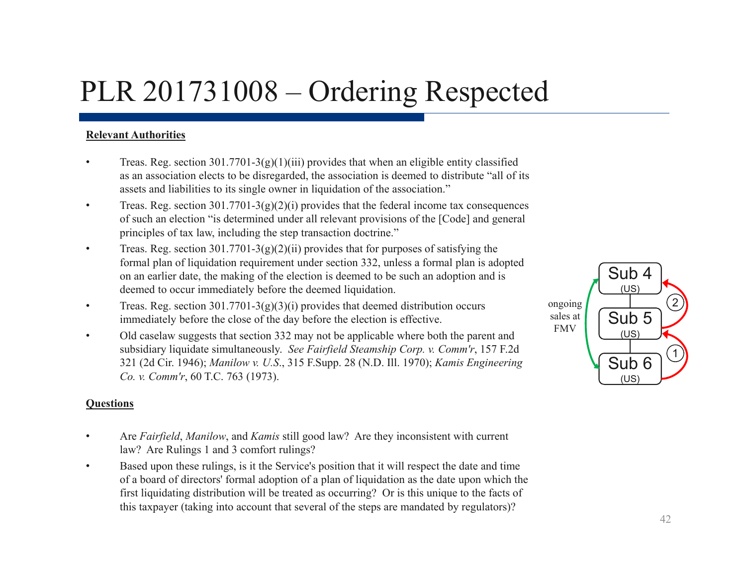### PLR 201731008 – Ordering Respected

#### **Relevant Authorities**

- •Treas. Reg. section  $301.7701-3(g)(1)(iii)$  provides that when an eligible entity classified as an association elects to be disregarded, the association is deemed to distribute "all of its assets and liabilities to its single owner in liquidation of the association."
- •Treas. Reg. section  $301.7701-3(g)(2)(i)$  provides that the federal income tax consequences of such an election "is determined under all relevant provisions of the [Code] and general principles of tax law, including the step transaction doctrine. "
- •Treas. Reg. section  $301.7701-3(g)(2)(ii)$  provides that for purposes of satisfying the formal plan of liquidation requirement under section 332, unless a formal plan is adopted on an earlier date, the making of the election is deemed to be such an adoption and is deemed to occur immediately before the deemed liquidation.
- •Treas. Reg. section  $301.7701-3(g)(3)(i)$  provides that deemed distribution occurs immediately before the close of the day before the election is effective.
- • Old caselaw suggests that section 332 may not be applicable where both the parent and subsidiary liquidate simultaneously. *See Fairfield Steamship Corp. v. Comm'r*, 157 F.2d 321 (2d Cir. 1946); *Manilow v. U.S*., 315 F.Supp. 28 (N.D. Ill. 1970); *Kamis Engineering Co. v. Comm'r*, 60 T.C. 763 (1973).

#### $(US)$ Sub 4 (∪s)<br>**\_\_<br>(∪s**) Sub 5 (∪s)<br>**\_\_<br>(∪s**) Sub 6  $\left(\begin{matrix} \overline{u} \\ u \\ u \end{matrix}\right)$   $\left(\begin{matrix} 1 \\ 0 \\ 0 \end{matrix}\right)$ ongoing 2sales at FMV

#### **Questions**

- • Are *Fairfield*, *Manilow*, and *Kamis* still good law? Are they inconsistent with current law? Are Rulings 1 and 3 comfort rulings?
- • Based upon these rulings, is it the Service's position that it will respect the date and time of a board of directors' formal adoption of a plan of liquidation as the date upon which the first liquidating distribution will be treated as occurring? Or is this unique to the facts of this taxpayer (taking into account that several of the steps are mandated by regulators)?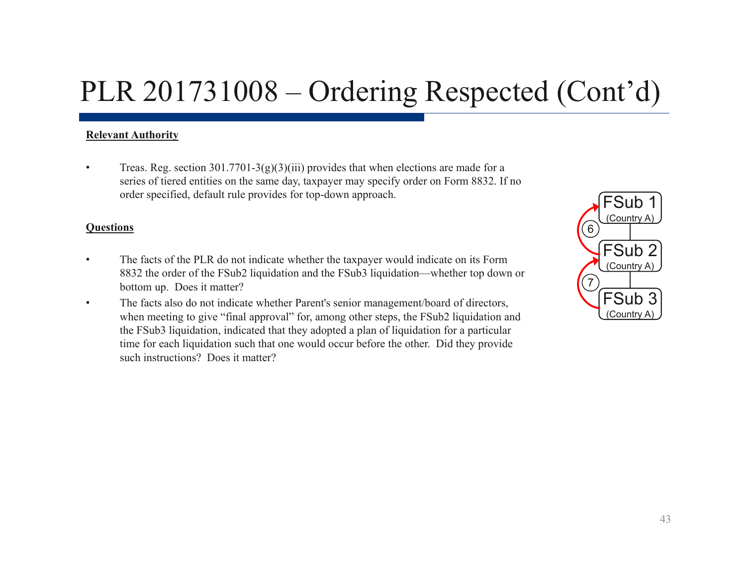### PLR 201731008 – Ordering Respected (Cont'd)

#### **Relevant Authority**

•Treas. Reg. section  $301.7701-3(g)(3)(iii)$  provides that when elections are made for a series of tiered entities on the same day, taxpayer may specify order on Form 8832. If no order specified, default rule provides for top-down approach.

#### **Questions**

- • The facts of the PLR do not indicate whether the taxpayer would indicate on its Form 8832 the order of the FSub2 liquidation and the FSub3 liquidation—whether top down or bottom up. Does it matter?
- • The facts also do not indicate whether Parent's senior management/board of directors, when meeting to give "final approval" for, among other steps, the FSub2 liquidation and the FSub3 liquidation, indicated that they adopted a plan of liquidation for a particular time for each liquidation such that one would occur before the other. Did they provide such instructions? Does it matter?

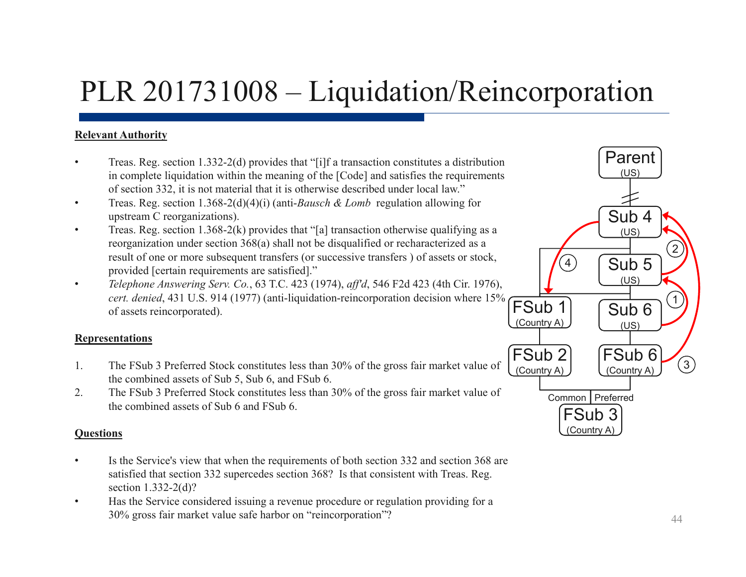## PLR 201731008 – Liquidation/Reincorporation

#### **Relevant Authority**

- • Treas. Reg. section 1.332-2(d) provides that "[i]f a transaction constitutes a distribution in complete liquidation within the meaning of the [Code] and satisfies the requirements of section 332, it is not material that it is otherwise described under local law."
- • Treas. Reg. section 1.368-2(d)(4)(i) (anti-*Bausch & Lomb* regulation allowing for upstream C reorganizations).
- • Treas. Reg. section 1.368-2(k) provides that "[a] transaction otherwise qualifying as a reorganization under section 368(a) shall not be disqualified or recharacterized as a result of one or more subsequent transfers (or successive transfers ) of assets or stock, provided [certain requirements are satisfied]."
- • *Telephone Answering Serv. Co.*, 63 T.C. 423 (1974), *aff'd*, 546 F2d 423 (4th Cir. 1976), *cert. denied*, 431 U.S. 914 (1977) (anti-liquidation-reincorporation decision where 15% of assets reincorporated).

#### **Representations**

- 1. The FSub 3 Preferred Stock constitutes less than 30% of the gross fair market value of the combined assets of Sub 5, Sub 6, and FSub 6.
- 2. The FSub 3 Preferred Stock constitutes less than 30% of the gross fair market value of the combined assets of Sub 6 and FSub 6.

#### **Questions**

- • Is the Service's view that when the requirements of both section 332 and section 368 are satisfied that section 332 supercedes section 368? Is that consistent with Treas. Reg. section 1.332-2(d)?
- • Has the Service considered issuing a revenue procedure or regulation providing for a 30% gross fair market value safe harbor on "reincorporation"? <sup>44</sup>

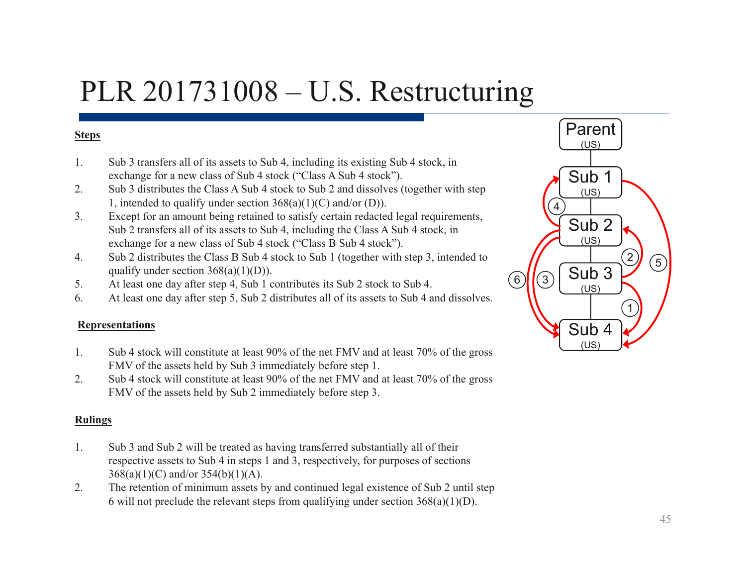### PLR 201731008 – U.S. Restructuring

#### **Steps**

- 1. Sub 3 transfers all of its assets to Sub 4, including its existing Sub 4 stock, in exchange for a new class of Sub 4 stock ("Class A Sub 4 stock").
- 2. Sub 3 distributes the Class A Sub 4 stock to Sub 2 and dissolves (together with step 1, intended to qualify under section  $368(a)(1)(C)$  and/or (D)).
- 3. Except for an amount being retained to satisfy certain redacted legal requirements, Sub 2 transfers all of its assets to Sub 4, including the Class A Sub 4 stock, in exchange for a new class of Sub 4 stock ("Class B Sub 4 stock").
- 4. Sub 2 distributes the Class B Sub 4 stock to Sub 1 (together with step 3, intended to qualify under section  $368(a)(1)(D)$ ).
- 5. At least one day after step 4, Sub 1 contributes its Sub 2 stock to Sub 4.
- 6. At least one day after step 5, Sub 2 distributes all of its assets to Sub 4 and dissolves.

#### **Representations**

- 1. Sub 4 stock will constitute at least 90% of the net FMV and at least 70% of the gross FMV of the assets held by Sub 3 immediately before step 1.
- 2. Sub 4 stock will constitute at least 90% of the net FMV and at least 70% of the gross FMV of the assets held by Sub 2 immediately before step 3.

#### **Rulings**

- 1. Sub 3 and Sub 2 will be treated as having transferred substantially all of their respective assets to Sub 4 in steps 1 and 3, respectively, for purposes of sections 368(a)(1)(C) and/or 354(b)(1)(A).
- 2. The retention of minimum assets by and continued legal existence of Sub 2 until step 6 will not preclude the relevant steps from qualifying under section  $368(a)(1)(D)$ .

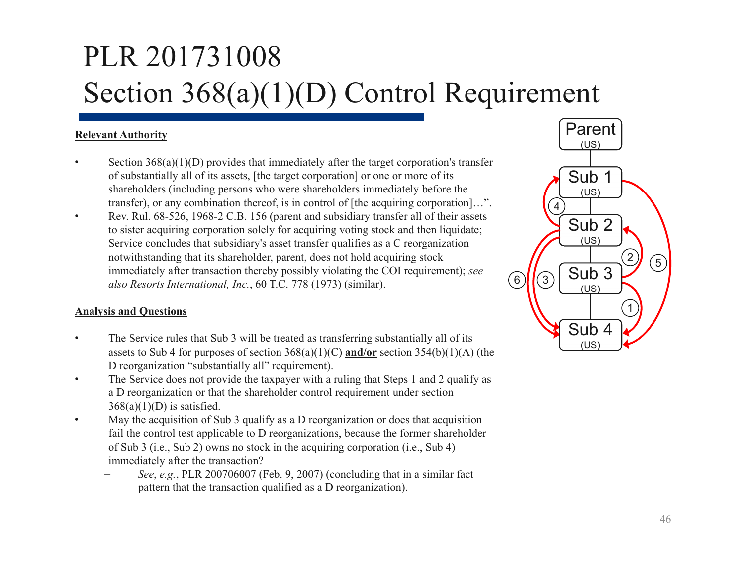# PLR 201731008 Section 368(a)(1)(D) Control Requirement

#### **Relevant Authority**

- •Section  $368(a)(1)(D)$  provides that immediately after the target corporation's transfer of substantially all of its assets, [the target corporation] or one or more of its shareholders (including persons who were shareholders immediately before the transfer), or any combination thereof, is in control of [the acquiring corporation]…".
- • Rev. Rul. 68-526, 1968-2 C.B. 156 (parent and subsidiary transfer all of their assets to sister acquiring corporation solely for acquiring voting stock and then liquidate; Service concludes that subsidiary's asset transfer qualifies as a C reorganization notwithstanding that its shareholder, parent, does not hold acquiring stock immediately after transaction thereby possibly violating the COI requirement); *see also Resorts International, Inc.*, 60 T.C. 778 (1973) (similar).

#### **Analysis and Questions**

- • The Service rules that Sub 3 will be treated as transferring substantially all of its assets to Sub 4 for purposes of section 368(a)(1)(C) **and/or** section 354(b)(1)(A) (the D reorganization "substantially all" requirement).
- • The Service does not provide the taxpayer with a ruling that Steps 1 and 2 qualify as a D reorganization or that the shareholder control requirement under section  $368(a)(1)(D)$  is satisfied.
- • May the acquisition of Sub 3 qualify as a D reorganization or does that acquisition fail the control test applicable to D reorganizations, because the former shareholder of Sub 3 (i.e., Sub 2) owns no stock in the acquiring corporation (i.e., Sub 4) immediately after the transaction?
	- *See*, *e.g.*, PLR 200706007 (Feb. 9, 2007) (concluding that in a similar fact pattern that the transaction qualified as a D reorganization).

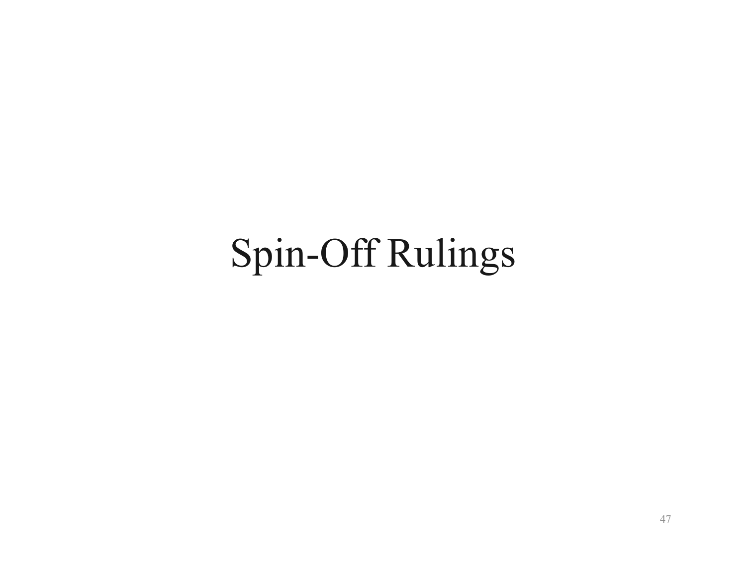# Spin-Off Rulings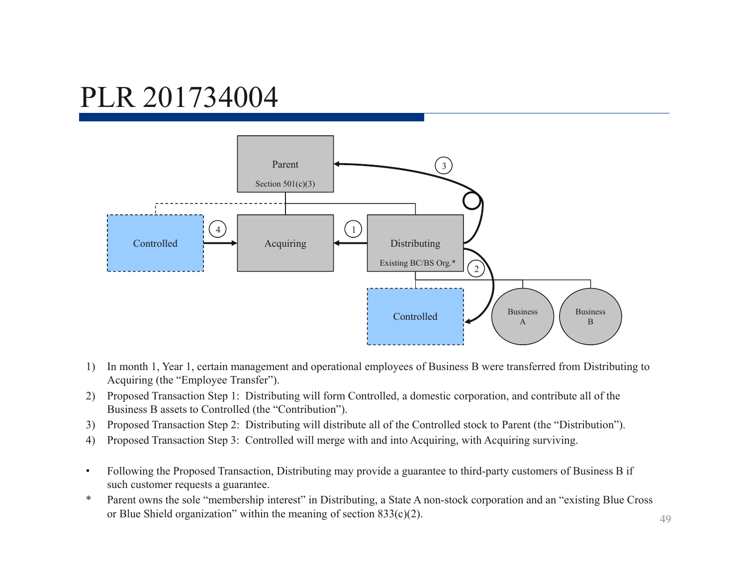

- 1) In month 1, Year 1, certain management and operational employees of Business B were transferred from Distributing to Acquiring (the "Employee Transfer").
- 2) Proposed Transaction Step 1: Distributing will form Controlled, a domestic corporation, and contribute all of the Business B assets to Controlled (the "Contribution").
- 3) Proposed Transaction Step 2: Distributing will distribute all of the Controlled stock to Parent (the "Distribution").
- 4) Proposed Transaction Step 3: Controlled will merge with and into Acquiring, with Acquiring surviving.
- • Following the Proposed Transaction, Distributing may provide a guarantee to third-party customers of Business B if such customer requests a guarantee.
- \* Parent owns the sole "membership interest" in Distributing, a State A non-stock corporation and an "existing Blue Cross or Blue Shield organization" within the meaning of section 833(c)(2).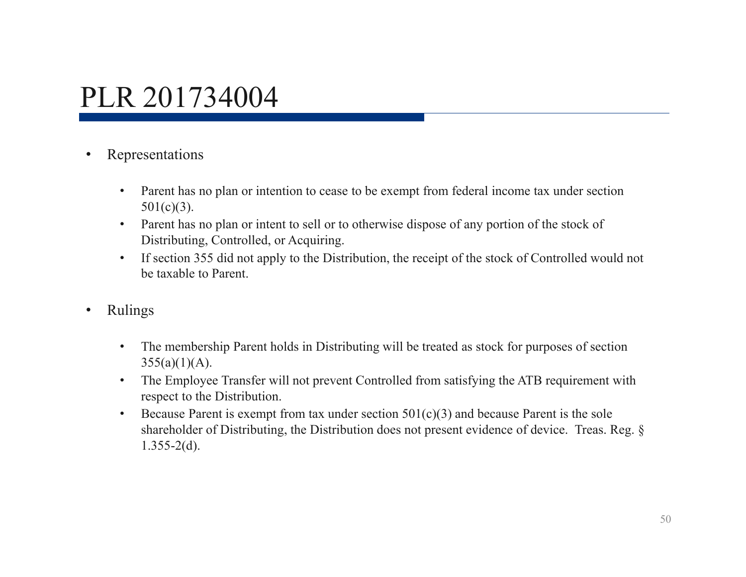- • Representations
	- • Parent has no plan or intention to cease to be exempt from federal income tax under section  $501(c)(3)$ .
	- Parent has no plan or intent to sell or to otherwise dispose of any portion of the stock of Distributing, Controlled, or Acquiring.
	- • If section 355 did not apply to the Distribution, the receipt of the stock of Controlled would not be taxable to Parent.
- • Rulings
	- • The membership Parent holds in Distributing will be treated as stock for purposes of section  $355(a)(1)(A)$ .
	- • The Employee Transfer will not prevent Controlled from satisfying the ATB requirement with respect to the Distribution.
	- •Because Parent is exempt from tax under section  $501(c)(3)$  and because Parent is the sole shareholder of Distributing, the Distribution does not present evidence of device. Treas. Reg. §  $1.355 - 2(d)$ .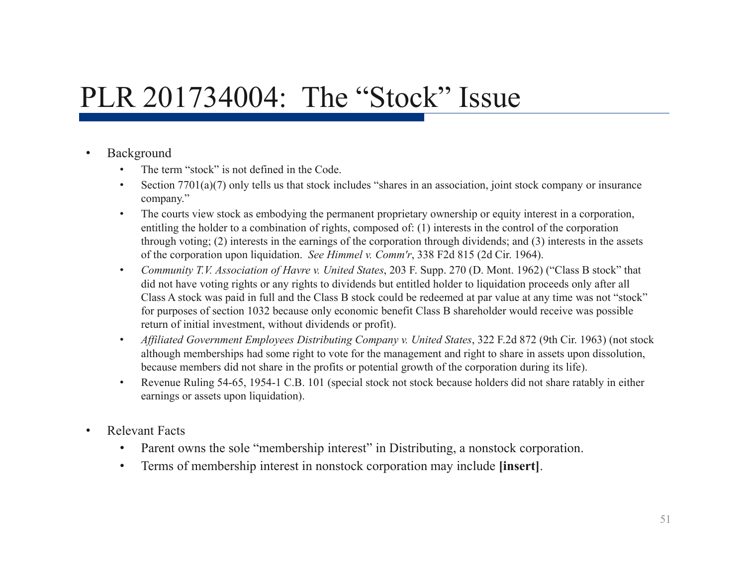### PLR 201734004: The "Stock" Issue

#### •Background

- •The term "stock" is not defined in the Code.
- •Section 7701(a)(7) only tells us that stock includes "shares in an association, joint stock company or insurance company."
- • The courts view stock as embodying the permanent proprietary ownership or equity interest in a corporation, entitling the holder to a combination of rights, composed of: (1) interests in the control of the corporation through voting; (2) interests in the earnings of the corporation through dividends; and (3) interests in the assets of the corporation upon liquidation. *See Himmel v. Comm'r*, 338 F2d 815 (2d Cir. 1964).
- • *Community T.V. Association of Havre v. United States*, 203 F. Supp. 270 (D. Mont. 1962) ("Class B stock" that did not have voting rights or any rights to dividends but entitled holder to liquidation proceeds only after all Class A stock was paid in full and the Class B stock could be redeemed at par value at any time was not "stock" for purposes of section 1032 because only economic benefit Class B shareholder would receive was possible return of initial investment, without dividends or profit).
- • *Affiliated Government Employees Distributing Company v. United States*, 322 F.2d 872 (9th Cir. 1963) (not stock although memberships had some right to vote for the management and right to share in assets upon dissolution, because members did not share in the profits or potential growth of the corporation during its life).
- • Revenue Ruling 54-65, 1954-1 C.B. 101 (special stock not stock because holders did not share ratably in either earnings or assets upon liquidation).
- • Relevant Facts
	- •Parent owns the sole "membership interest" in Distributing, a nonstock corporation.
	- •Terms of membership interest in nonstock corporation may include **[insert]**.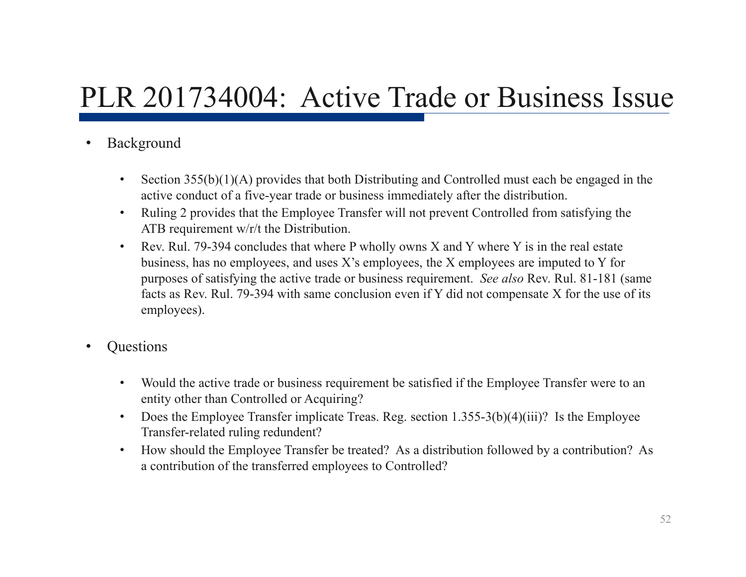### PLR 201734004: Active Trade or Business Issue

- • Background
	- • Section 355(b)(1)(A) provides that both Distributing and Controlled must each be engaged in the active conduct of a five-year trade or business immediately after the distribution.
	- $\bullet$  Ruling 2 provides that the Employee Transfer will not prevent Controlled from satisfying the ATB requirement w/r/t the Distribution.
	- • Rev. Rul. 79-394 concludes that where P wholly owns X and Y where Y is in the real estate business, has no employees, and uses X's employees, the X employees are imputed to Y for purposes of satisfying the active trade or business requirement. *See also* Rev. Rul. 81-181 (same facts as Rev. Rul. 79-394 with same conclusion even if Y did not compensate X for the use of its employees).
- •**Ouestions** 
	- • Would the active trade or business requirement be satisfied if the Employee Transfer were to an entity other than Controlled or Acquiring?
	- •Does the Employee Transfer implicate Treas. Reg. section 1.355-3(b)(4)(iii)? Is the Employee Transfer-related ruling redundent?
	- • How should the Employee Transfer be treated? As a distribution followed by a contribution? As a contribution of the transferred employees to Controlled?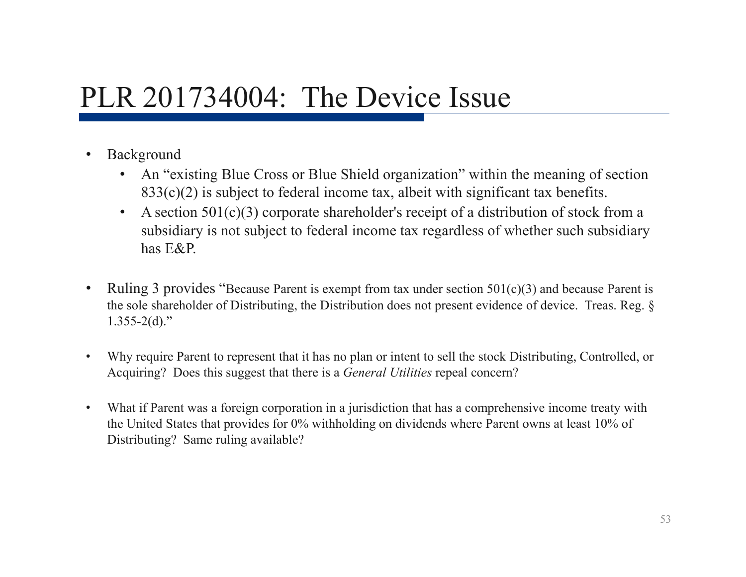### PLR 201734004: The Device Issue

- • Background
	- An "existing Blue Cross or Blue Shield organization" within the meaning of section  $833(c)(2)$  is subject to federal income tax, albeit with significant tax benefits.
	- • A section 501(c)(3) corporate shareholder's receipt of a distribution of stock from a subsidiary is not subject to federal income tax regardless of whether such subsidiary has E&P.
- • Ruling 3 provides "Because Parent is exempt from tax under section 501(c)(3) and because Parent is the sole shareholder of Distributing, the Distribution does not present evidence of device. Treas. Reg. §  $1.355 - 2(d)$ ."
- • Why require Parent to represent that it has no plan or intent to sell the stock Distributing, Controlled, or Acquiring? Does this suggest that there is a *General Utilities* repeal concern?
- • What if Parent was a foreign corporation in a jurisdiction that has a comprehensive income treaty with the United States that provides for 0% withholding on dividends where Parent owns at least 10% of Distributing? Same ruling available?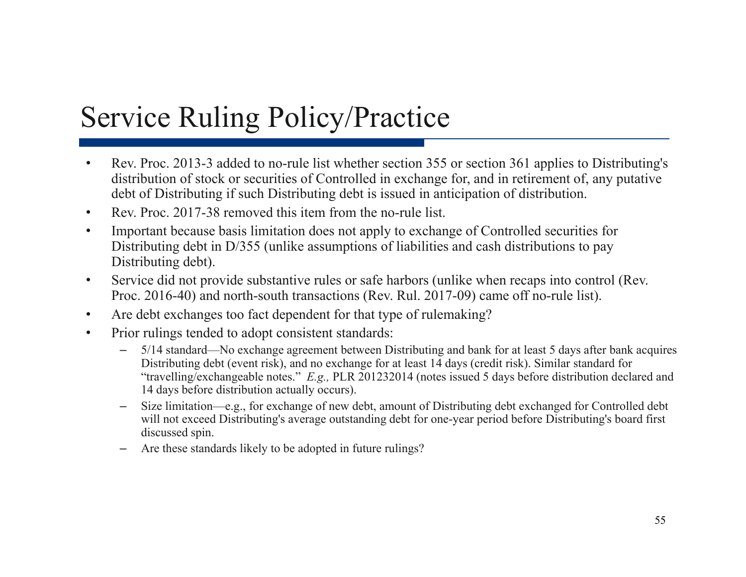## Service Ruling Policy/Practice

- • Rev. Proc. 2013-3 added to no-rule list whether section 355 or section 361 applies to Distributing's distribution of stock or securities of Controlled in exchange for, and in retirement of, any putative debt of Distributing if such Distributing debt is issued in anticipation of distribution.
- •Rev. Proc. 2017-38 removed this item from the no-rule list.
- • Important because basis limitation does not apply to exchange of Controlled securities for Distributing debt in D/355 (unlike assumptions of liabilities and cash distributions to pay Distributing debt).
- • Service did not provide substantive rules or safe harbors (unlike when recaps into control (Rev. Proc. 2016-40) and north-south transactions (Rev. Rul. 2017-09) came off no-rule list).
- •Are debt exchanges too fact dependent for that type of rulemaking?
- • Prior rulings tended to adopt consistent standards:
	- 5/14 standard—No exchange agreement between Distributing and bank for at least 5 days after bank acquires Distributing debt (event risk), and no exchange for at least 14 days (credit risk). Similar standard for "travelling/exchangeable notes." *E.g.,* PLR 201232014 (notes issued 5 days before distribution declared and 14 days before distribution actually occurs).
	- Size limitation—e.g., for exchange of new debt, amount of Distributing debt exchanged for Controlled debt will not exceed Distributing's average outstanding debt for one-year period before Distributing's board first discussed spin.
	- Are these standards likely to be adopted in future rulings?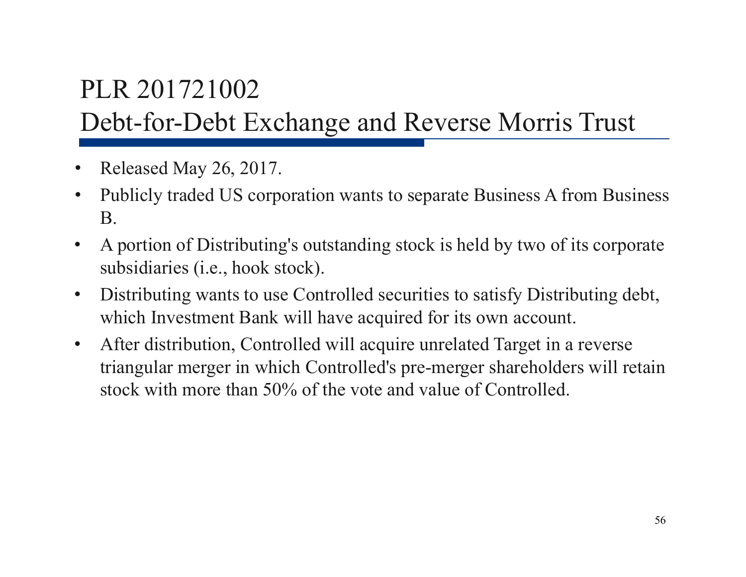### PLR 201721002 Debt-for-Debt Exchange and Reverse Morris Trust

- $\bullet$ Released May 26, 2017.
- $\bullet$  Publicly traded US corporation wants to separate Business A from Business B.
- $\bullet$  A portion of Distributing's outstanding stock is held by two of its corporate subsidiaries (i.e., hook stock).
- $\bullet$  Distributing wants to use Controlled securities to satisfy Distributing debt, which Investment Bank will have acquired for its own account.
- $\bullet$  After distribution, Controlled will acquire unrelated Target in a reverse triangular merger in which Controlled's pre-merger shareholders will retain stock with more than 50% of the vote and value of Controlled.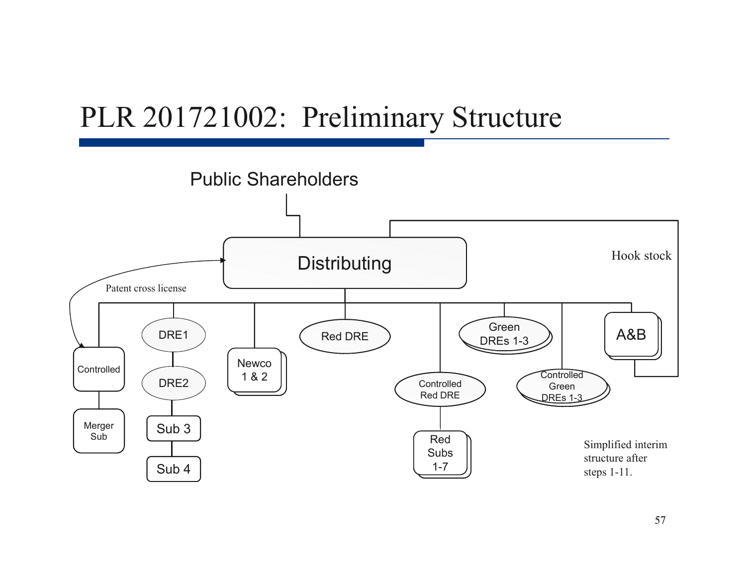### PLR 201721002: Preliminary Structure

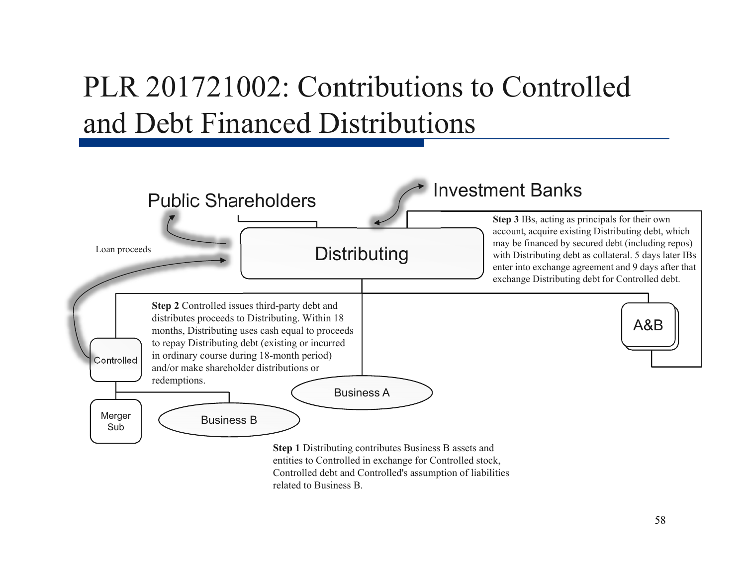# PLR 201721002: Contributions to Controlled and Debt Financed Distributions

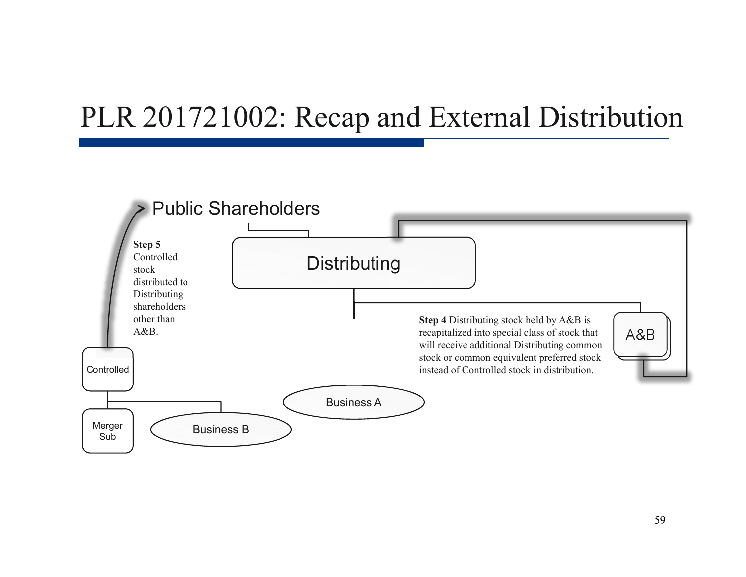### PLR 201721002: Recap and External Distribution

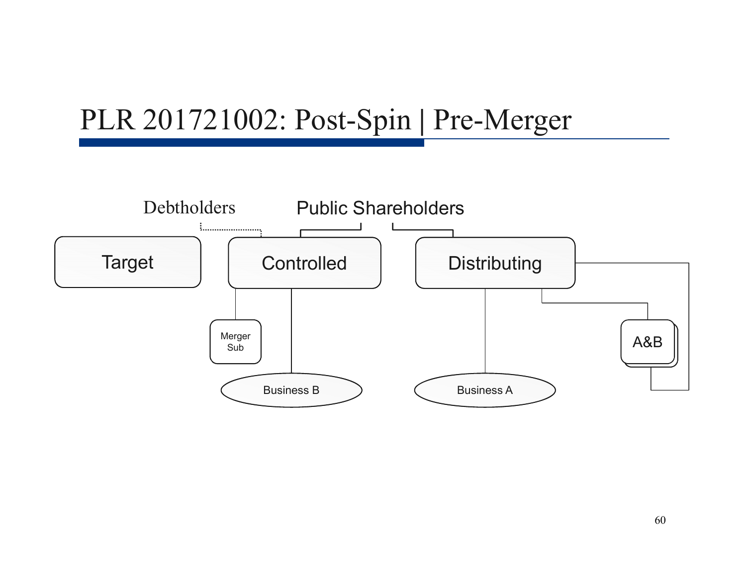## PLR 201721002: Post-Spin **|** Pre-Merger

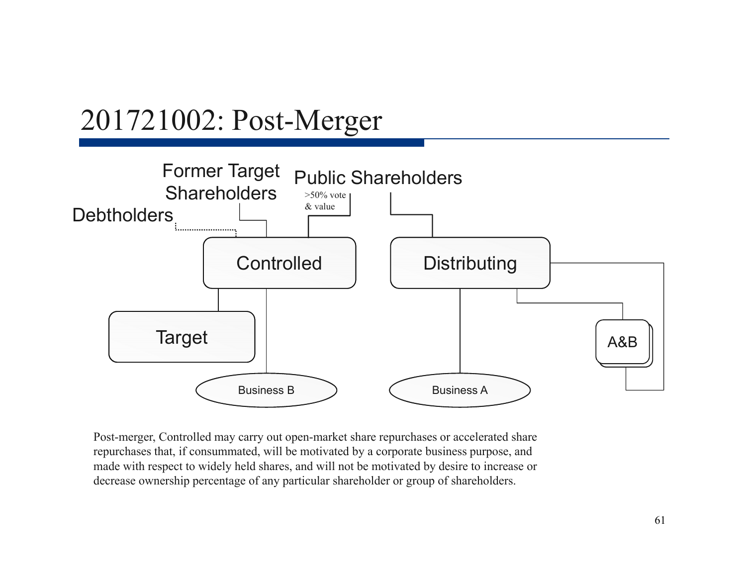### 201721002: Post-Merger



Post-merger, Controlled may carry out open-market share repurchases or accelerated share repurchases that, if consummated, will be motivated by a corporate business purpose, and made with respect to widely held shares, and will not be motivated by desire to increase or decrease ownership percentage of any particular shareholder or group of shareholders.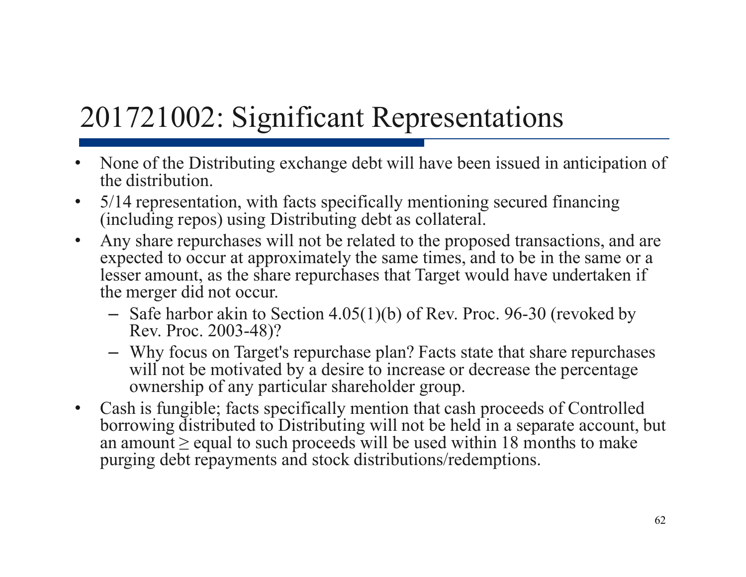# 201721002: Significant Representations

- $\bullet$  None of the Distributing exchange debt will have been issued in anticipation of the distribution.
- $\bullet$  5/14 representation, with facts specifically mentioning secured financing (including repos) using Distributing debt as collateral.
- $\bullet$  Any share repurchases will not be related to the proposed transactions, and are expected to occur at approximately the same times, and to be in the same or a lesser amount, as the share repurchases that Target would have undertaken if the merger did not occur.
	- Safe harbor akin to Section 4.05(1)(b) of Rev. Proc. 96-30 (revoked by Rev. Proc. 2003-48)?
	- Why focus on Target's repurchase plan? Facts state that share repurchases will not be motivated by a desire to increase or decrease the percentage ownership of any particular shareholder group.
- $\bullet$  Cash is fungible; facts specifically mention that cash proceeds of Controlled borrowing distributed to Distributing will not be held in a separate account, but an amount  $\geq$  equal to such proceeds will be used within 18 months to make purging debt repayments and stock distributions/redemptions.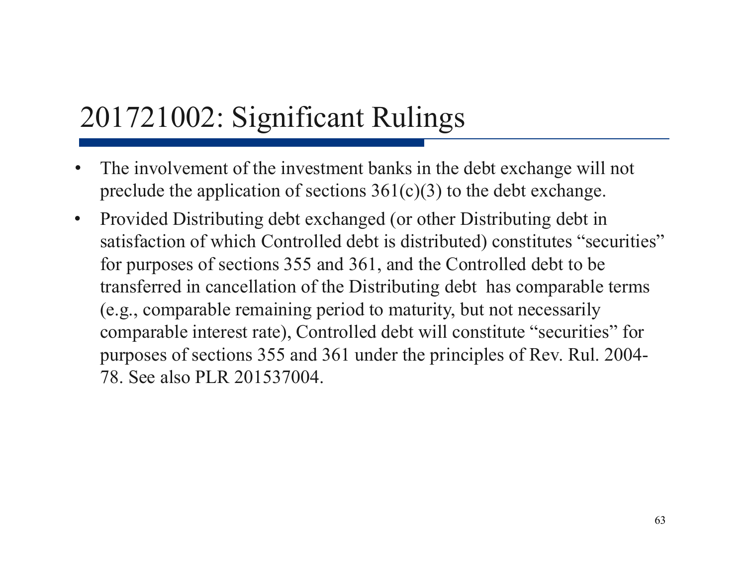- $\bullet$  The involvement of the investment banks in the debt exchange will not preclude the application of sections  $361(c)(3)$  to the debt exchange.
- $\bullet$  Provided Distributing debt exchanged (or other Distributing debt in satisfaction of which Controlled debt is distributed) constitutes "securities" for purposes of sections 355 and 361, and the Controlled debt to be transferred in cancellation of the Distributing debt has comparable terms (e.g., comparable remaining period to maturity, but not necessarily comparable interest rate), Controlled debt will constitute "securities" for purposes of sections 355 and 361 under the principles of Rev. Rul. 2004- 78. See also PLR 201537004.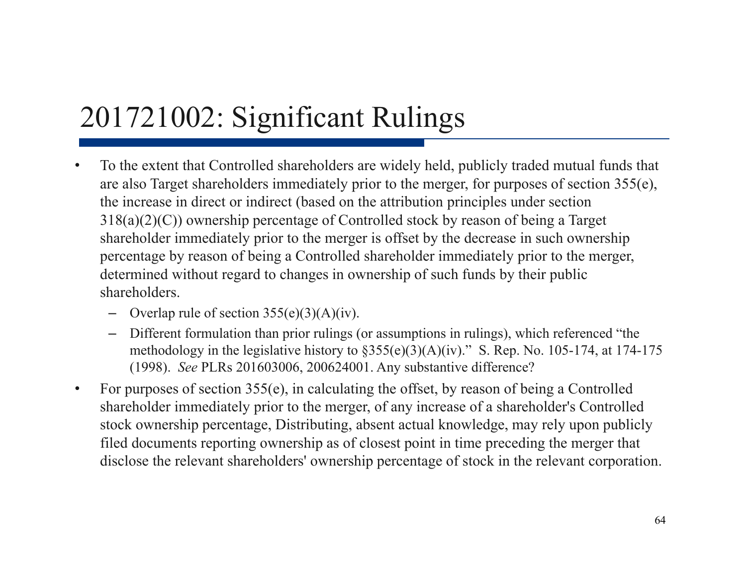- • To the extent that Controlled shareholders are widely held, publicly traded mutual funds that are also Target shareholders immediately prior to the merger, for purposes of section 355(e), the increase in direct or indirect (based on the attribution principles under section 318(a)(2)(C)) ownership percentage of Controlled stock by reason of being a Target shareholder immediately prior to the merger is offset by the decrease in such ownership percentage by reason of being a Controlled shareholder immediately prior to the merger, determined without regard to changes in ownership of such funds by their public shareholders.
	- Overlap rule of section  $355(e)(3)(A)(iv)$ .
	- Different formulation than prior rulings (or assumptions in rulings), which referenced "the methodology in the legislative history to §355(e)(3)(A)(iv)." S. Rep. No. 105-174, at 174-175 (1998). *See* PLRs 201603006, 200624001. Any substantive difference?
- • For purposes of section 355(e), in calculating the offset, by reason of being a Controlled shareholder immediately prior to the merger, of any increase of a shareholder's Controlled stock ownership percentage, Distributing, absent actual knowledge, may rely upon publicly filed documents reporting ownership as of closest point in time preceding the merger that disclose the relevant shareholders' ownership percentage of stock in the relevant corporation.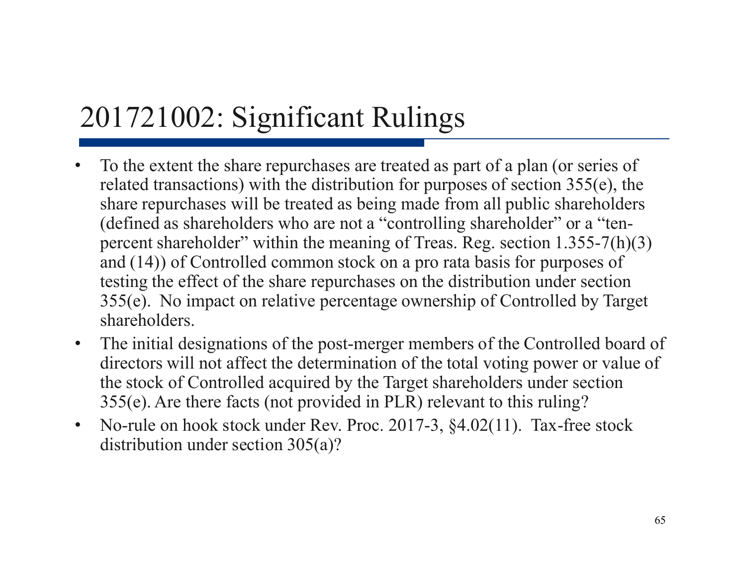- $\bullet$  To the extent the share repurchases are treated as part of a plan (or series of related transactions) with the distribution for purposes of section 355(e), the share repurchases will be treated as being made from all public shareholders (defined as shareholders who are not a "controlling shareholder" or a "tenpercent shareholder" within the meaning of Treas. Reg. section 1.355-7(h)(3) and (14)) of Controlled common stock on a pro rata basis for purposes of testing the effect of the share repurchases on the distribution under section 355(e). No impact on relative percentage ownership of Controlled by Target shareholders.
- • The initial designations of the post-merger members of the Controlled board of directors will not affect the determination of the total voting power or value of the stock of Controlled acquired by the Target shareholders under section 355(e). Are there facts (not provided in PLR) relevant to this ruling?
- $\bullet$  No-rule on hook stock under Rev. Proc. 2017-3, §4.02(11). Tax-free stock distribution under section 305(a)?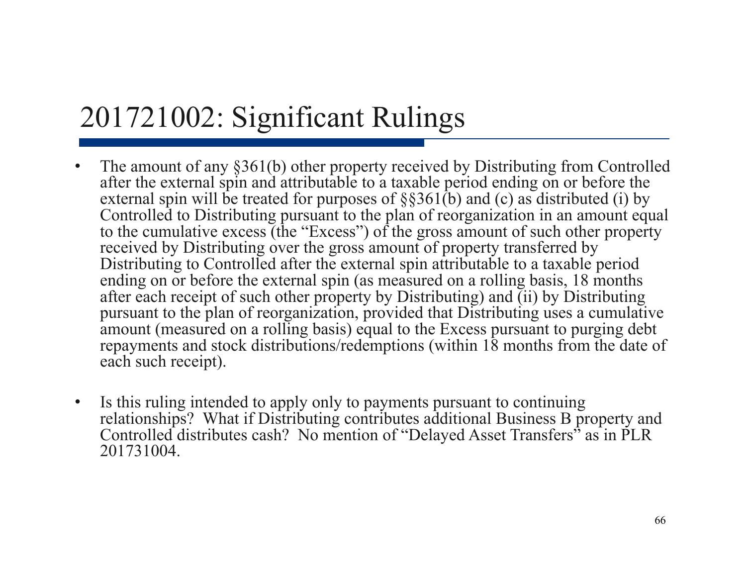- $\bullet$  The amount of any §361(b) other property received by Distributing from Controlled after the external spin and attributable to a taxable period ending on or before the external spin will be treated for purposes of  $\S$ §361(b) and (c) as distributed (i) by Controlled to Distributing pursuant to the plan of reorganization in an amount equal to the cumulative excess (the "Excess") of the gross amount of such other property received by Distributing over the gross amount of property transferred by Distributing to Controlled after the external spin attributable to a taxable period ending on or before the external spin (as measured on a rolling basis, 18 months after each receipt of such other property by Distributing) and (ii) by Distributing pursuant to the plan of reorganization, provided that Distributing uses a cumulative amount (measured on a rolling basis) equal to the Excess pursuant to purging debt repayments and stock distributions/redemptions (within 18 months from the date of each such receipt).
- $\bullet$  Is this ruling intended to apply only to payments pursuant to continuing relationships? What if Distributing contributes additional Business B property and Controlled distributes cash? No mention of "Delayed Asset Transfers" as in PLR 201731004.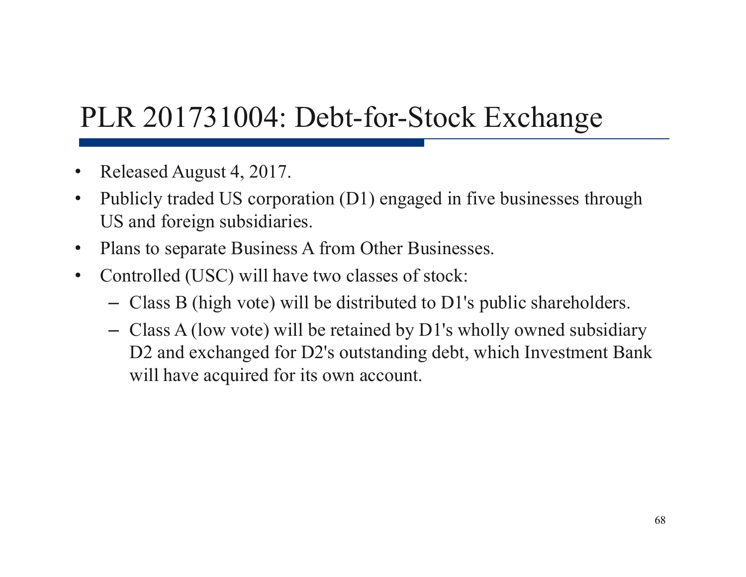# PLR 201731004: Debt-for-Stock Exchange

- •Released August 4, 2017.
- $\bullet$  Publicly traded US corporation (D1) engaged in five businesses through US and foreign subsidiaries.
- $\bullet$ Plans to separate Business A from Other Businesses.
- $\bullet$  Controlled (USC) will have two classes of stock:
	- Class B (high vote) will be distributed to D1's public shareholders.
	- Class A (low vote) will be retained by D1's wholly owned subsidiary D<sub>2</sub> and exchanged for D<sub>2</sub>'s outstanding debt, which Investment Bank will have acquired for its own account.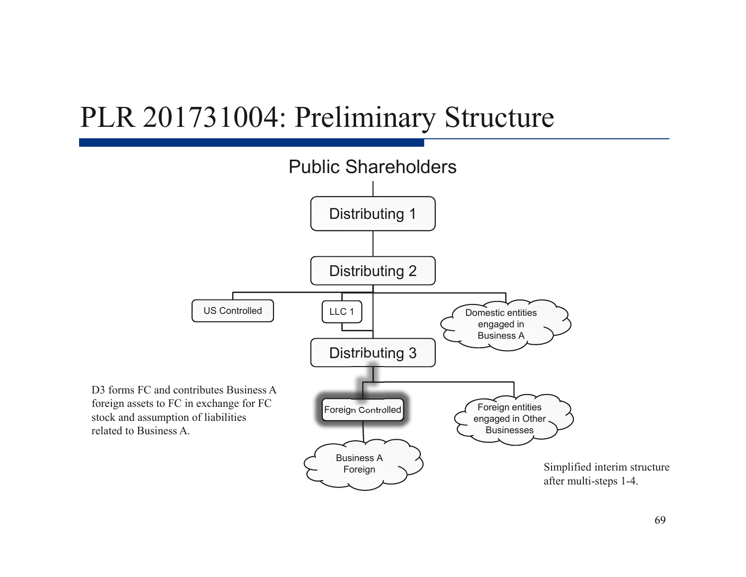### PLR 201731004: Preliminary Structure

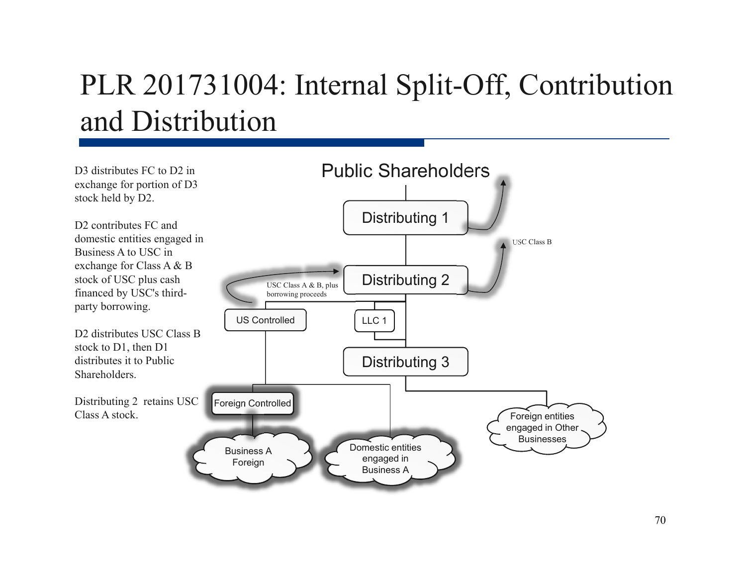# PLR 201731004: Internal Split-Off, Contribution and Distribution

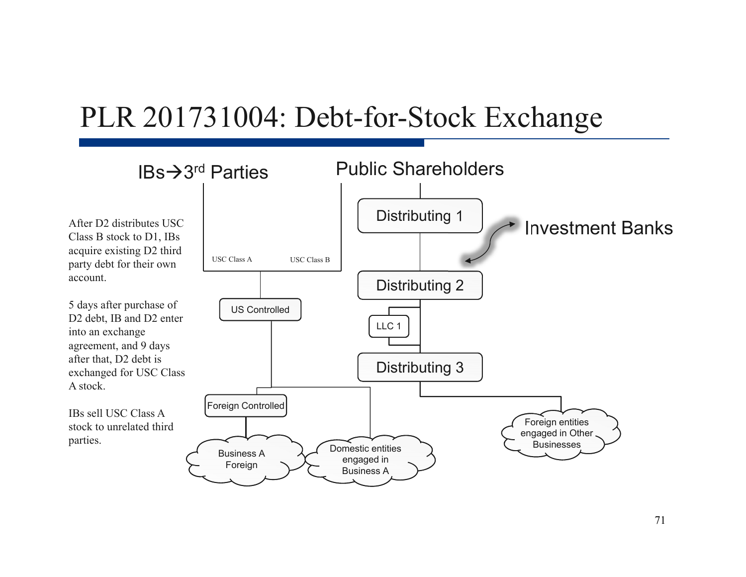### PLR 201731004: Debt-for-Stock Exchange

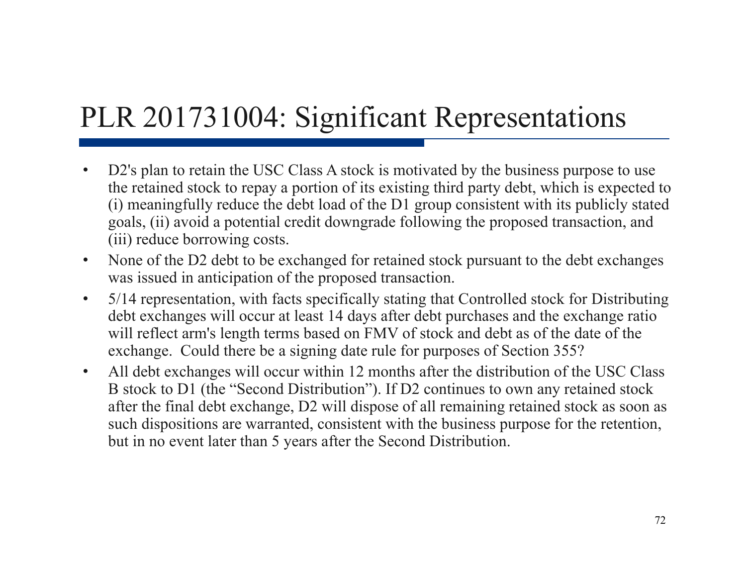# PLR 201731004: Significant Representations

- $\bullet$ D2's plan to retain the USC Class A stock is motivated by the business purpose to use the retained stock to repay a portion of its existing third party debt, which is expected to (i) meaningfully reduce the debt load of the D1 group consistent with its publicly stated goals, (ii) avoid a potential credit downgrade following the proposed transaction, and (iii) reduce borrowing costs.
- $\bullet$  None of the D2 debt to be exchanged for retained stock pursuant to the debt exchanges was issued in anticipation of the proposed transaction.
- $\bullet$  5/14 representation, with facts specifically stating that Controlled stock for Distributing debt exchanges will occur at least 14 days after debt purchases and the exchange ratio will reflect arm's length terms based on FMV of stock and debt as of the date of the exchange. Could there be a signing date rule for purposes of Section 355?
- $\bullet$  All debt exchanges will occur within 12 months after the distribution of the USC Class B stock to D1 (the "Second Distribution"). If D2 continues to own any retained stock after the final debt exchange, D2 will dispose of all remaining retained stock as soon as such dispositions are warranted, consistent with the business purpose for the retention, but in no event later than 5 years after the Second Distribution.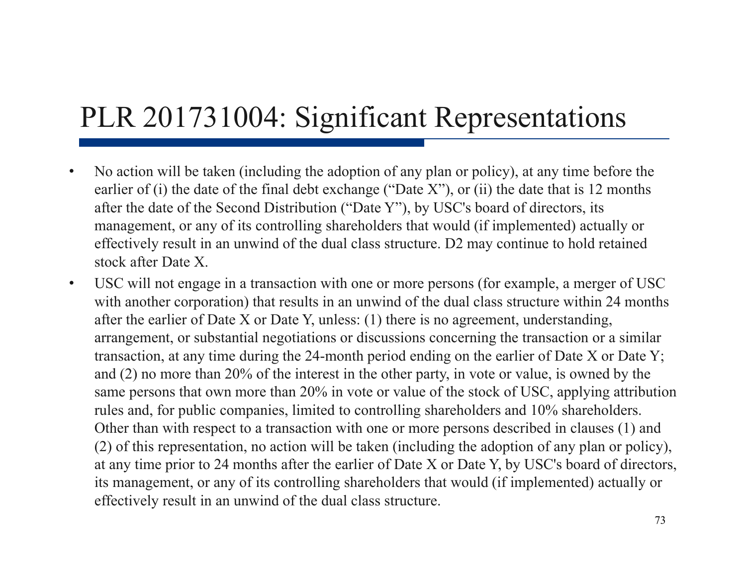## PLR 201731004: Significant Representations

- • No action will be taken (including the adoption of any plan or policy), at any time before the earlier of (i) the date of the final debt exchange ("Date X"), or (ii) the date that is 12 months after the date of the Second Distribution ("Date Y"), by USC's board of directors, its management, or any of its controlling shareholders that would (if implemented) actually or effectively result in an unwind of the dual class structure. D2 may continue to hold retained stock after Date X.
- $\bullet$  USC will not engage in a transaction with one or more persons (for example, a merger of USC with another corporation) that results in an unwind of the dual class structure within 24 months after the earlier of Date X or Date Y, unless: (1) there is no agreement, understanding, arrangement, or substantial negotiations or discussions concerning the transaction or a similar transaction, at any time during the 24-month period ending on the earlier of Date X or Date Y; and (2) no more than 20% of the interest in the other party, in vote or value, is owned by the same persons that own more than 20% in vote or value of the stock of USC, applying attribution rules and, for public companies, limited to controlling shareholders and 10% shareholders. Other than with respect to a transaction with one or more persons described in clauses (1) and (2) of this representation, no action will be taken (including the adoption of any plan or policy), at any time prior to 24 months after the earlier of Date X or Date Y, by USC's board of directors, its management, or any of its controlling shareholders that would (if implemented) actually or effectively result in an unwind of the dual class structure.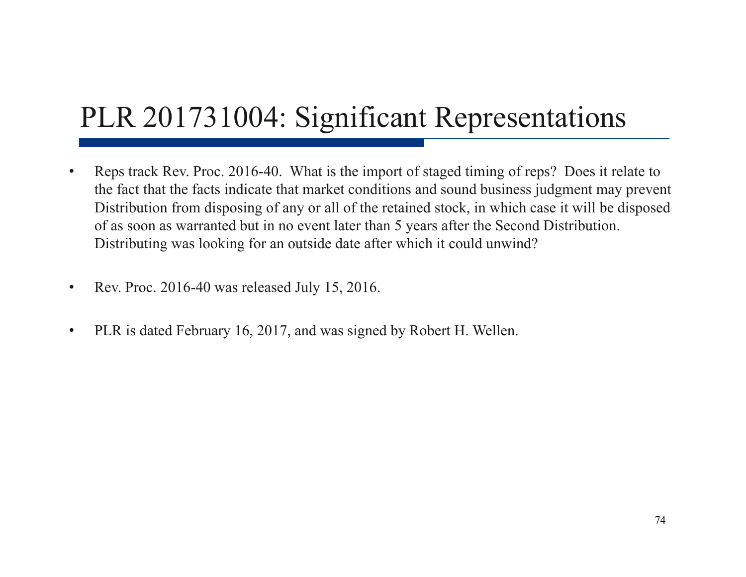## PLR 201731004: Significant Representations

- • Reps track Rev. Proc. 2016-40. What is the import of staged timing of reps? Does it relate to the fact that the facts indicate that market conditions and sound business judgment may prevent Distribution from disposing of any or all of the retained stock, in which case it will be disposed of as soon as warranted but in no event later than 5 years after the Second Distribution. Distributing was looking for an outside date after which it could unwind?
- $\bullet$ Rev. Proc. 2016-40 was released July 15, 2016.
- •PLR is dated February 16, 2017, and was signed by Robert H. Wellen.